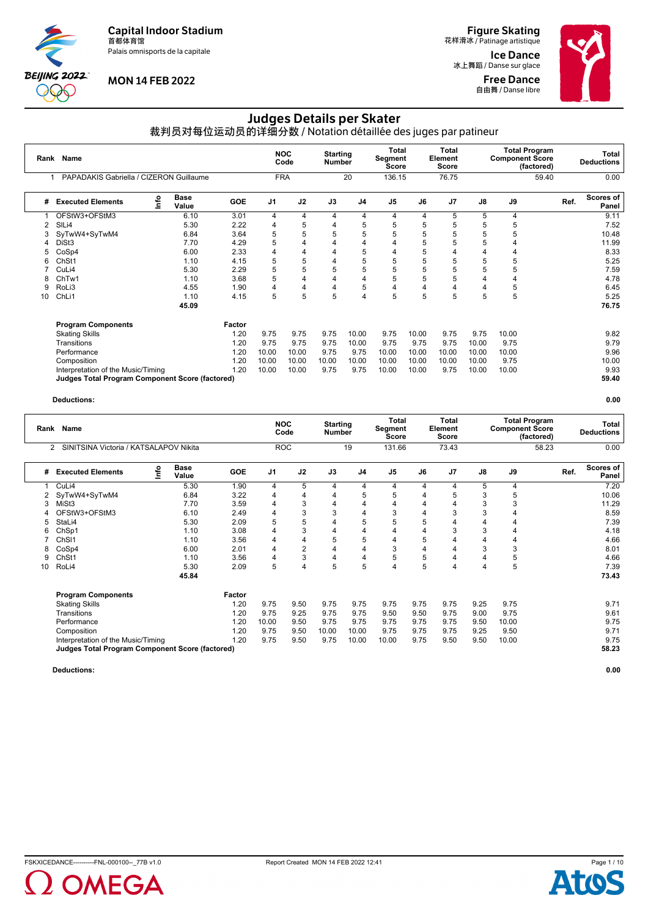Palais omnisports de la capitale



# **MON 14 FEB 2022**

**Figure Skating**<br>花样滑冰 / Patinage artistique

Ice Dance 冰上舞蹈 / Danse sur glace Free Dance **自由舞 / Danse libre** 



# Judges Details per Skater

裁判员对每位运动员的详细分数 / Notation détaillée des juges par patineur

| Rank Name<br>PAPADAKIS Gabriella / CIZERON Guillaume |            |                                                        |                |                                  |                |                                  |       | <b>Total</b><br><b>Score</b>        |         |       |       |                                                              | Total<br><b>Deductions</b> |
|------------------------------------------------------|------------|--------------------------------------------------------|----------------|----------------------------------|----------------|----------------------------------|-------|-------------------------------------|---------|-------|-------|--------------------------------------------------------------|----------------------------|
|                                                      |            |                                                        |                |                                  | 20             |                                  |       | 76.75                               |         |       | 59.40 |                                                              | 0.00                       |
| <b>Base</b><br>Value                                 | <b>GOE</b> | J <sub>1</sub>                                         | J2             | J3                               | J <sub>4</sub> | J <sub>5</sub>                   | J6    | J <sub>7</sub>                      | J8      | J9    |       | Ref.                                                         | Scores of<br>Panel         |
| 6.10                                                 | 3.01       | 4                                                      | $\overline{4}$ | 4                                | 4              | 4                                | 4     | 5                                   | 5       | 4     |       |                                                              | 9.11                       |
| 5.30                                                 | 2.22       | 4                                                      | 5              | $\overline{4}$                   | 5              | 5                                | 5     |                                     | 5       | 5     |       |                                                              | 7.52                       |
| 6.84                                                 | 3.64       | 5                                                      | 5              | 5                                | 5              | 5                                | 5     |                                     | 5       | 5     |       |                                                              | 10.48                      |
| 7.70                                                 | 4.29       | 5                                                      | 4              | 4                                | 4              | 4                                | 5     |                                     | 5       |       |       |                                                              | 11.99                      |
| 6.00                                                 | 2.33       | $\overline{4}$                                         | 4              | 4                                | 5              | 4                                | 5     |                                     |         | 4     |       |                                                              | 8.33                       |
| 1.10                                                 | 4.15       | 5                                                      | 5              | 4                                | 5              | 5                                | 5     |                                     | 5       | 5     |       |                                                              | 5.25                       |
| 5.30                                                 | 2.29       | 5                                                      | 5              | 5                                | 5              | 5                                | 5     | 5                                   | 5       | 5     |       |                                                              | 7.59                       |
| 1.10                                                 | 3.68       | 5                                                      | 4              | 4                                | 4              | 5                                | 5     | 5                                   |         | 4     |       |                                                              | 4.78                       |
| 4.55                                                 | 1.90       | $\overline{4}$                                         | $\overline{4}$ | 4                                | 5              | 4                                | 4     |                                     |         | 5     |       |                                                              | 6.45                       |
| 1.10                                                 | 4.15       | 5                                                      | 5              | 5                                | 4              | 5                                | 5     | 5                                   | 5       | 5     |       |                                                              | 5.25                       |
| 45.09                                                |            |                                                        |                |                                  |                |                                  |       |                                     |         |       |       |                                                              | 76.75                      |
|                                                      | Factor     |                                                        |                |                                  |                |                                  |       |                                     |         |       |       |                                                              |                            |
|                                                      | 1.20       | 9.75                                                   | 9.75           | 9.75                             | 10.00          | 9.75                             | 10.00 | 9.75                                | 9.75    | 10.00 |       |                                                              | 9.82                       |
|                                                      | 1.20       | 9.75                                                   | 9.75           | 9.75                             | 10.00          | 9.75                             | 9.75  | 9.75                                | 10.00   | 9.75  |       |                                                              | 9.79                       |
|                                                      | 1.20       | 10.00                                                  | 10.00          | 9.75                             | 9.75           | 10.00                            | 10.00 | 10.00                               | 10.00   | 10.00 |       |                                                              | 9.96                       |
|                                                      | 1.20       | 10.00                                                  | 10.00          | 10.00                            | 10.00          | 10.00                            | 10.00 | 10.00                               | 10.00   | 9.75  |       |                                                              | 10.00                      |
|                                                      | 1.20       | 10.00                                                  | 10.00          | 9.75                             | 9.75           | 10.00                            | 10.00 | 9.75                                | 10.00   | 10.00 |       |                                                              | 9.93                       |
|                                                      |            |                                                        |                |                                  |                |                                  |       |                                     |         |       |       |                                                              | 59.40                      |
|                                                      |            | <b>Judges Total Program Component Score (factored)</b> |                | <b>NOC</b><br>Code<br><b>FRA</b> |                | <b>Starting</b><br><b>Number</b> |       | Total<br>Segment<br>Score<br>136.15 | Element |       |       | <b>Total Program</b><br><b>Component Score</b><br>(factored) |                            |

#### **Deductions: 0.00**

|    | Rank Name<br>SINITSINA Victoria / KATSALAPOV Nikita<br>2 |      |                      |            | <b>NOC</b>     | Code           | <b>Starting</b><br><b>Number</b> |                | <b>Total</b><br>Segment<br>Score |      | Total<br>Element<br><b>Score</b> |      | <b>Component Score</b> | <b>Total Program</b><br>(factored) |       | Total<br><b>Deductions</b> |
|----|----------------------------------------------------------|------|----------------------|------------|----------------|----------------|----------------------------------|----------------|----------------------------------|------|----------------------------------|------|------------------------|------------------------------------|-------|----------------------------|
|    |                                                          |      |                      |            | <b>ROC</b>     |                |                                  | 19             | 131.66                           |      | 73.43                            |      |                        | 58.23                              |       | 0.00                       |
| #  | <b>Executed Elements</b>                                 | lnfo | <b>Base</b><br>Value | <b>GOE</b> | J <sub>1</sub> | J2             | J3                               | J <sub>4</sub> | J <sub>5</sub>                   | J6   | J <sub>7</sub>                   | J8   | J9                     |                                    | Ref.  | Scores of<br>Panel         |
|    | CuLi4                                                    |      | 5.30                 | 1.90       | $\overline{4}$ | 5              | 4                                | 4              | 4                                | 4    | 4                                | 5    | 4                      |                                    |       | 7.20                       |
|    | SyTwW4+SyTwM4                                            |      | 6.84                 | 3.22       | 4              | 4              | 4                                | 5              | 5                                | 4    | 5                                | 3    | 5                      |                                    |       | 10.06                      |
| 3  | MiSt3                                                    |      | 7.70                 | 3.59       | $\overline{4}$ | 3              | 4                                | 4              | 4                                | 4    |                                  | 3    | 3                      |                                    |       | 11.29                      |
|    | OFStW3+OFStM3                                            |      | 6.10                 | 2.49       | $\overline{4}$ | 3              | 3                                | 4              | 3                                | 4    |                                  | 3    |                        |                                    |       | 8.59                       |
| 5  | StaLi4                                                   |      | 5.30                 | 2.09       | 5              | 5              | 4                                | 5              | 5                                | 5    |                                  | 4    |                        |                                    |       | 7.39                       |
| 6  | ChSp1                                                    |      | 1.10                 | 3.08       | $\overline{4}$ | 3              | $\overline{4}$                   | 4              | 4                                | 4    | 3                                | 3    |                        |                                    |       | 4.18                       |
|    | ChS <sub>11</sub>                                        |      | 1.10                 | 3.56       | $\overline{4}$ | 4              | 5                                | 5              | 4                                | 5    |                                  | 4    |                        |                                    |       | 4.66                       |
| 8  | CoSp4                                                    |      | 6.00                 | 2.01       | $\overline{4}$ | $\overline{2}$ | 4                                | 4              | 3                                | 4    | 4                                | 3    | 3                      |                                    |       | 8.01                       |
| 9  | Ch <sub>St1</sub>                                        |      | 1.10                 | 3.56       | 4              | 3              | 4                                | 4              | 5                                | 5    | 4                                | 4    | 5                      |                                    |       | 4.66                       |
| 10 | RoLi4                                                    |      | 5.30                 | 2.09       | 5              | 4              | 5                                | 5              | 4                                | 5    | 4                                | 4    | 5                      |                                    |       | 7.39                       |
|    |                                                          |      | 45.84                |            |                |                |                                  |                |                                  |      |                                  |      |                        |                                    |       | 73.43                      |
|    | <b>Program Components</b>                                |      |                      | Factor     |                |                |                                  |                |                                  |      |                                  |      |                        |                                    |       |                            |
|    | <b>Skating Skills</b>                                    |      |                      | 1.20       | 9.75           | 9.50           | 9.75                             | 9.75           | 9.75                             | 9.75 | 9.75                             | 9.25 | 9.75                   |                                    |       | 9.71                       |
|    | Transitions                                              |      |                      | 1.20       | 9.75           | 9.25           | 9.75                             | 9.75           | 9.50                             | 9.50 | 9.75                             | 9.00 | 9.75                   |                                    |       | 9.61                       |
|    | Performance                                              |      |                      | 1.20       | 10.00          | 9.50           | 9.75                             | 9.75           | 9.75                             | 9.75 | 9.75                             | 9.50 | 10.00                  |                                    |       | 9.75                       |
|    | Composition                                              |      |                      | 1.20       | 9.75           | 9.50           | 10.00                            | 10.00          | 9.75                             | 9.75 | 9.75                             | 9.25 | 9.50                   |                                    |       | 9.71                       |
|    | Interpretation of the Music/Timing                       |      |                      | 1.20       | 9.75           | 9.50           | 9.75                             | 10.00          | 10.00                            | 9.75 | 9.50                             | 9.50 | 10.00                  |                                    |       | 9.75                       |
|    | Judges Total Program Component Score (factored)          |      |                      |            |                |                |                                  |                |                                  |      |                                  |      |                        |                                    | 58.23 |                            |



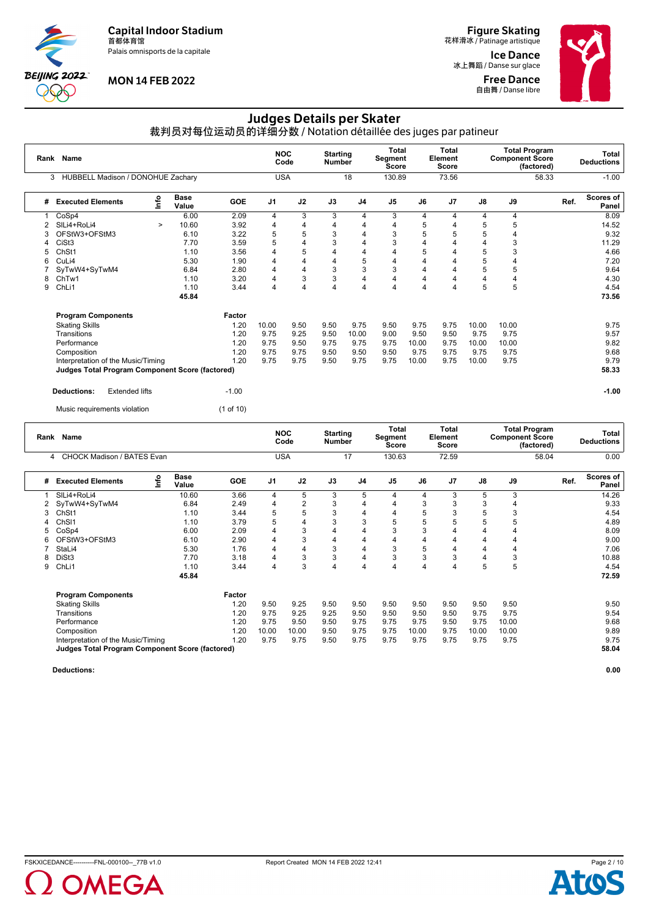Palais omnisports de la capitale



# **MON 14 FEB 2022**

**Figure Skating**<br>花样滑冰 / Patinage artistique

Ice Dance 冰上舞蹈 / Danse sur glace Free Dance **自由舞 / Danse libre** 



# Judges Details per Skater

裁判员对每位运动员的详细分数 / Notation détaillée des juges par patineur

|   | Rank Name<br>HUBBELL Madison / DONOHUE Zachary<br>3    |          |                      |            | <b>NOC</b>     | Code           | <b>Starting</b><br><b>Number</b> |                | <b>Total</b><br><b>Segment</b><br>Score |                | Total<br>Element<br><b>Score</b> |       | <b>Component Score</b> | <b>Total Program</b><br>(factored) |      | Total<br><b>Deductions</b> |
|---|--------------------------------------------------------|----------|----------------------|------------|----------------|----------------|----------------------------------|----------------|-----------------------------------------|----------------|----------------------------------|-------|------------------------|------------------------------------|------|----------------------------|
|   |                                                        |          |                      |            | <b>USA</b>     |                |                                  | 18             | 130.89                                  |                | 73.56                            |       |                        | 58.33                              |      | $-1.00$                    |
| # | <b>Executed Elements</b>                               | <b>u</b> | <b>Base</b><br>Value | <b>GOE</b> | J <sub>1</sub> | J2             | J3                               | J <sub>4</sub> | J <sub>5</sub>                          | J6             | J7                               | J8    | J9                     |                                    | Ref. | Scores of<br>Panel         |
|   | CoSp4                                                  |          | 6.00                 | 2.09       | 4              | 3              | 3                                | 4              | 3                                       | 4              | 4                                | 4     | 4                      |                                    |      | 8.09                       |
| 2 | SILi4+RoLi4                                            | $\geq$   | 10.60                | 3.92       | 4              | 4              | 4                                | 4              | 4                                       | 5              | 4                                | 5     | 5                      |                                    |      | 14.52                      |
|   | OFStW3+OFStM3                                          |          | 6.10                 | 3.22       | 5              | 5              | 3                                | $\overline{4}$ | 3                                       | 5              | 5                                | 5     | 4                      |                                    |      | 9.32                       |
|   | CiSt <sub>3</sub>                                      |          | 7.70                 | 3.59       | 5              | 4              | 3                                | $\overline{4}$ | 3                                       | 4              | 4                                | 4     | 3                      |                                    |      | 11.29                      |
| 5 | ChSt1                                                  |          | 1.10                 | 3.56       | 4              | 5              | 4                                | 4              | $\overline{4}$                          | 5              | 4                                | 5     | 3                      |                                    |      | 4.66                       |
| 6 | CuLi4                                                  |          | 5.30                 | 1.90       | 4              | 4              | 4                                | 5              | 4                                       | 4              | 4                                | 5     | 4                      |                                    |      | 7.20                       |
|   | SyTwW4+SyTwM4                                          |          | 6.84                 | 2.80       | 4              | 4              | 3                                | 3              | 3                                       | 4              | 4                                | 5     | 5                      |                                    |      | 9.64                       |
| 8 | ChTw1                                                  |          | 1.10                 | 3.20       | 4              | 3              | 3                                | 4              | 4                                       | $\overline{4}$ | 4                                | 4     | 4                      |                                    |      | 4.30                       |
| 9 | ChLi1                                                  |          | 1.10                 | 3.44       | 4              | $\overline{4}$ | 4                                | 4              | 4                                       | $\overline{4}$ | 4                                | 5     | 5                      |                                    |      | 4.54                       |
|   |                                                        |          | 45.84                |            |                |                |                                  |                |                                         |                |                                  |       |                        |                                    |      | 73.56                      |
|   | <b>Program Components</b>                              |          |                      | Factor     |                |                |                                  |                |                                         |                |                                  |       |                        |                                    |      |                            |
|   | <b>Skating Skills</b>                                  |          |                      | 1.20       | 10.00          | 9.50           | 9.50                             | 9.75           | 9.50                                    | 9.75           | 9.75                             | 10.00 | 10.00                  |                                    |      | 9.75                       |
|   | Transitions                                            |          |                      | 1.20       | 9.75           | 9.25           | 9.50                             | 10.00          | 9.00                                    | 9.50           | 9.50                             | 9.75  | 9.75                   |                                    |      | 9.57                       |
|   | Performance                                            |          |                      | 1.20       | 9.75           | 9.50           | 9.75                             | 9.75           | 9.75                                    | 10.00          | 9.75                             | 10.00 | 10.00                  |                                    |      | 9.82                       |
|   | Composition                                            |          |                      | 1.20       | 9.75           | 9.75           | 9.50                             | 9.50           | 9.50                                    | 9.75           | 9.75                             | 9.75  | 9.75                   |                                    |      | 9.68                       |
|   | Interpretation of the Music/Timing                     |          |                      | 1.20       | 9.75           | 9.75           | 9.50                             | 9.75           | 9.75                                    | 10.00          | 9.75                             | 10.00 | 9.75                   |                                    |      | 9.79                       |
|   | <b>Judges Total Program Component Score (factored)</b> |          |                      |            |                |                |                                  |                |                                         |                |                                  |       |                        |                                    |      | 58.33                      |
|   | <b>Deductions:</b><br><b>Extended lifts</b>            |          |                      | $-1.00$    |                |                |                                  |                |                                         |                |                                  |       |                        |                                    |      | $-1.00$                    |
|   | Music requirements violation                           |          |                      | (1 of 10)  |                |                |                                  |                |                                         |                |                                  |       |                        |                                    |      |                            |

| Rank | Name                                                   |    |                      |            |                | <b>NOC</b><br>Code | <b>Starting</b><br>Number |                | Total<br>Segment<br>Score |       | Total<br>Element<br><b>Score</b> |       |       | Total Program<br><b>Component Score</b><br>(factored) |      | Total<br><b>Deductions</b> |
|------|--------------------------------------------------------|----|----------------------|------------|----------------|--------------------|---------------------------|----------------|---------------------------|-------|----------------------------------|-------|-------|-------------------------------------------------------|------|----------------------------|
| 4    | <b>CHOCK Madison / BATES Evan</b>                      |    |                      |            |                | <b>USA</b>         |                           | 17             | 130.63                    |       | 72.59                            |       |       | 58.04                                                 |      | 0.00                       |
| #    | <b>Executed Elements</b>                               | ۴o | <b>Base</b><br>Value | <b>GOE</b> | J <sub>1</sub> | J2                 | J3                        | J <sub>4</sub> | J <sub>5</sub>            | J6    | J <sub>7</sub>                   | J8    | J9    |                                                       | Ref. | Scores of<br>Panel         |
|      | SILi4+RoLi4                                            |    | 10.60                | 3.66       | 4              | 5                  | 3                         | 5              | 4                         | 4     | 3                                | 5     | 3     |                                                       |      | 14.26                      |
| 2    | SyTwW4+SyTwM4                                          |    | 6.84                 | 2.49       | 4              | $\overline{2}$     | 3                         | 4              |                           | 3     | 3                                | 3     |       |                                                       |      | 9.33                       |
| 3    | ChSt1                                                  |    | 1.10                 | 3.44       | 5              | 5                  | 3                         | 4              | 4                         |       | 3                                | 5     |       |                                                       |      | 4.54                       |
|      | Ch <sub>SI1</sub>                                      |    | 1.10                 | 3.79       | 5              | 4                  | 3                         | 3              | 5                         | 5     | 5                                | 5     | 5     |                                                       |      | 4.89                       |
|      | CoSp4                                                  |    | 6.00                 | 2.09       | 4              | 3                  | 4                         | 4              | 3                         |       |                                  |       | 4     |                                                       |      | 8.09                       |
|      | OFStW3+OFStM3                                          |    | 6.10                 | 2.90       | 4              | 3                  | 4                         | 4              | 4                         | 4     | 4                                | 4     | 4     |                                                       |      | 9.00                       |
|      | StaLi4                                                 |    | 5.30                 | 1.76       | 4              | 4                  | 3                         | 4              | 3                         | 5     | 4                                | 4     | 4     |                                                       |      | 7.06                       |
|      | DiSt <sub>3</sub>                                      |    | 7.70                 | 3.18       | 4              | 3                  | 3                         | 4              | 3                         | 3     | 3                                | 4     | 3     |                                                       |      | 10.88                      |
| 9    | ChL <sub>i1</sub>                                      |    | 1.10                 | 3.44       | 4              | 3                  | 4                         | 4              | $\overline{\mathbf{4}}$   | 4     | 4                                | 5     | 5     |                                                       |      | 4.54                       |
|      |                                                        |    | 45.84                |            |                |                    |                           |                |                           |       |                                  |       |       |                                                       |      | 72.59                      |
|      | <b>Program Components</b>                              |    |                      | Factor     |                |                    |                           |                |                           |       |                                  |       |       |                                                       |      |                            |
|      | <b>Skating Skills</b>                                  |    |                      | 1.20       | 9.50           | 9.25               | 9.50                      | 9.50           | 9.50                      | 9.50  | 9.50                             | 9.50  | 9.50  |                                                       |      | 9.50                       |
|      | Transitions                                            |    |                      | 1.20       | 9.75           | 9.25               | 9.25                      | 9.50           | 9.50                      | 9.50  | 9.50                             | 9.75  | 9.75  |                                                       |      | 9.54                       |
|      | Performance                                            |    |                      | 1.20       | 9.75           | 9.50               | 9.50                      | 9.75           | 9.75                      | 9.75  | 9.50                             | 9.75  | 10.00 |                                                       |      | 9.68                       |
|      | Composition                                            |    |                      | 1.20       | 10.00          | 10.00              | 9.50                      | 9.75           | 9.75                      | 10.00 | 9.75                             | 10.00 | 10.00 |                                                       |      | 9.89                       |
|      | Interpretation of the Music/Timing                     |    |                      | 1.20       | 9.75           | 9.75               | 9.50                      | 9.75           | 9.75                      | 9.75  | 9.75                             | 9.75  | 9.75  |                                                       |      | 9.75                       |
|      | <b>Judges Total Program Component Score (factored)</b> |    |                      |            |                |                    |                           |                |                           |       |                                  |       |       |                                                       |      | 58.04                      |



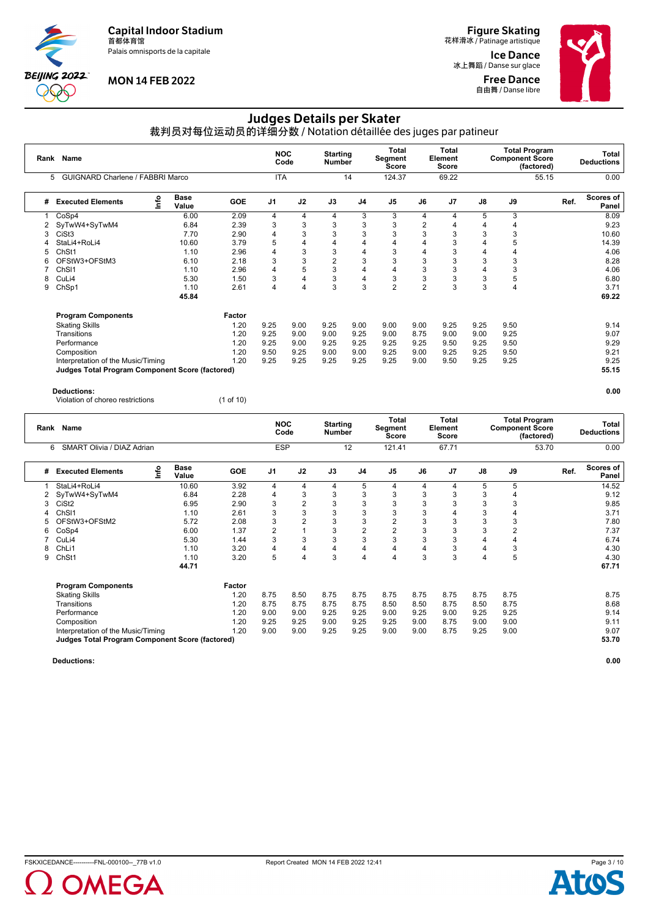Palais omnisports de la capitale



### **MON 14 FEB 2022**

**Figure Skating**<br>花样滑冰 / Patinage artistique

Ice Dance 冰上舞蹈 / Danse sur glace Free Dance **自由舞 / Danse libre** 



# Judges Details per Skater

裁判员对每位运动员的详细分数 / Notation détaillée des juges par patineur

| Rank | Name<br>GUIGNARD Charlene / FABBRI Marco<br>5   |          |                      |            | <b>NOC</b>     | Code | <b>Starting</b><br>Number |                | <b>Total</b><br>Segment<br>Score |                | Total<br>Element<br>Score |               | <b>Component Score</b> | <b>Total Program</b><br>(factored) |      | Total<br><b>Deductions</b> |
|------|-------------------------------------------------|----------|----------------------|------------|----------------|------|---------------------------|----------------|----------------------------------|----------------|---------------------------|---------------|------------------------|------------------------------------|------|----------------------------|
|      |                                                 |          |                      |            | <b>ITA</b>     |      |                           | 14             | 124.37                           |                | 69.22                     |               |                        | 55.15                              |      | 0.00                       |
| #    | <b>Executed Elements</b>                        | <b>u</b> | <b>Base</b><br>Value | <b>GOE</b> | J <sub>1</sub> | J2   | J3                        | J <sub>4</sub> | J <sub>5</sub>                   | J6             | J7                        | $\mathsf{J}8$ | J9                     |                                    | Ref. | Scores of<br>Panel         |
|      | CoSp4                                           |          | 6.00                 | 2.09       | 4              | 4    | 4                         | 3              | 3                                | 4              | 4                         | 5             | 3                      |                                    |      | 8.09                       |
| 2    | SyTwW4+SyTwM4                                   |          | 6.84                 | 2.39       | 3              | 3    | 3                         | 3              | 3                                | $\overline{2}$ | 4                         | 4             | 4                      |                                    |      | 9.23                       |
| 3    | CiSt <sub>3</sub>                               |          | 7.70                 | 2.90       | 4              | 3    | 3                         | 3              | 3                                | 3              | 3                         | 3             | 3                      |                                    |      | 10.60                      |
|      | StaLi4+RoLi4                                    |          | 10.60                | 3.79       | 5              | 4    | $\overline{4}$            | 4              | 4                                | 4              | 3                         |               | 5                      |                                    |      | 14.39                      |
| 5    | ChSt1                                           |          | 1.10                 | 2.96       | 4              | 3    | 3                         | 4              | 3                                | 4              | 3                         |               |                        |                                    |      | 4.06                       |
|      | OFStW3+OFStM3                                   |          | 6.10                 | 2.18       | 3              | 3    | $\overline{2}$            | 3              | 3                                | 3              | 3                         | 3             | 3                      |                                    |      | 8.28                       |
|      | Ch <sub>SI1</sub>                               |          | 1.10                 | 2.96       | 4              | 5    | 3                         | 4              | 4                                | 3              | 3                         | 4             | 3                      |                                    |      | 4.06                       |
| 8    | CuLi4                                           |          | 5.30                 | 1.50       | 3              | 4    | 3                         | $\overline{4}$ | 3                                | 3              | 3                         | 3             | 5                      |                                    |      | 6.80                       |
| 9    | ChSp1                                           |          | 1.10                 | 2.61       | 4              | 4    | 3                         | 3              | $\overline{2}$                   | $\overline{2}$ | 3                         | 3             | 4                      |                                    |      | 3.71                       |
|      |                                                 |          | 45.84                |            |                |      |                           |                |                                  |                |                           |               |                        |                                    |      | 69.22                      |
|      | <b>Program Components</b>                       |          |                      | Factor     |                |      |                           |                |                                  |                |                           |               |                        |                                    |      |                            |
|      | <b>Skating Skills</b>                           |          |                      | 1.20       | 9.25           | 9.00 | 9.25                      | 9.00           | 9.00                             | 9.00           | 9.25                      | 9.25          | 9.50                   |                                    |      | 9.14                       |
|      | Transitions                                     |          |                      | 1.20       | 9.25           | 9.00 | 9.00                      | 9.25           | 9.00                             | 8.75           | 9.00                      | 9.00          | 9.25                   |                                    |      | 9.07                       |
|      | Performance                                     |          |                      | 1.20       | 9.25           | 9.00 | 9.25                      | 9.25           | 9.25                             | 9.25           | 9.50                      | 9.25          | 9.50                   |                                    |      | 9.29                       |
|      | Composition                                     |          |                      | 1.20       | 9.50           | 9.25 | 9.00                      | 9.00           | 9.25                             | 9.00           | 9.25                      | 9.25          | 9.50                   |                                    |      | 9.21                       |
|      | Interpretation of the Music/Timing              |          |                      | 1.20       | 9.25           | 9.25 | 9.25                      | 9.25           | 9.25                             | 9.00           | 9.50                      | 9.25          | 9.25                   |                                    |      | 9.25                       |
|      | Judges Total Program Component Score (factored) |          |                      |            |                |      |                           |                |                                  |                |                           |               |                        |                                    |      | 55.15                      |
|      |                                                 |          |                      |            |                |      |                           |                |                                  |                |                           |               |                        |                                    |      |                            |

#### **Deductions: 0.00**

Violation of choreo restrictions (1 of 10)

|   | Rank Name                                              |      |                      |            | <b>NOC</b>     | Code           | <b>Starting</b><br>Number |                | Total<br>Segment<br><b>Score</b> |      | Total<br>Element<br><b>Score</b> |      | <b>Total Program</b><br><b>Component Score</b> | (factored) |      | Total<br><b>Deductions</b> |
|---|--------------------------------------------------------|------|----------------------|------------|----------------|----------------|---------------------------|----------------|----------------------------------|------|----------------------------------|------|------------------------------------------------|------------|------|----------------------------|
|   | SMART Olivia / DIAZ Adrian<br>6                        |      |                      |            | <b>ESP</b>     |                |                           | 12             | 121.41                           |      | 67.71                            |      |                                                | 53.70      |      | 0.00                       |
| # | <b>Executed Elements</b>                               | info | <b>Base</b><br>Value | <b>GOE</b> | J <sub>1</sub> | J2             | J3                        | J4             | J <sub>5</sub>                   | J6   | J <sub>7</sub>                   | J8   | J9                                             |            | Ref. | Scores of<br>Panel         |
|   | StaLi4+RoLi4                                           |      | 10.60                | 3.92       | 4              | 4              | 4                         | 5              | 4                                | 4    | 4                                | 5    | 5                                              |            |      | 14.52                      |
|   | SyTwW4+SyTwM4                                          |      | 6.84                 | 2.28       | 4              | 3              | 3                         | 3              | 3                                | 3    | 3                                | 3    | 4                                              |            |      | 9.12                       |
| 3 | CiSt <sub>2</sub>                                      |      | 6.95                 | 2.90       | 3              | $\overline{2}$ | 3                         | 3              | 3                                | 3    | 3                                | 3    | 3                                              |            |      | 9.85                       |
|   | Ch <sub>SI1</sub>                                      |      | 1.10                 | 2.61       | 3              | 3              | 3                         | 3              | 3                                | 3    |                                  | 3    | 4                                              |            |      | 3.71                       |
|   | OFStW3+OFStM2                                          |      | 5.72                 | 2.08       | 3              | 2              | 3                         | 3              | 2                                | 3    | 3                                | 3    | 3                                              |            |      | 7.80                       |
| 6 | CoSp4                                                  |      | 6.00                 | 1.37       | $\overline{2}$ |                | 3                         | $\overline{2}$ | $\overline{2}$                   | 3    | 3                                | 3    | $\overline{2}$                                 |            |      | 7.37                       |
|   | CuLi4                                                  |      | 5.30                 | 1.44       | 3              | 3              | 3                         | 3              | 3                                | 3    | 3                                | 4    | 4                                              |            |      | 6.74                       |
|   | ChL <sub>i1</sub>                                      |      | 1.10                 | 3.20       | 4              | 4              | 4                         | 4              | 4                                |      | 3                                | 4    | 3                                              |            |      | 4.30                       |
| 9 | ChSt1                                                  |      | 1.10                 | 3.20       | 5              | 4              | 3                         | 4              | 4                                | 3    | 3                                | 4    | 5                                              |            |      | 4.30                       |
|   |                                                        |      | 44.71                |            |                |                |                           |                |                                  |      |                                  |      |                                                |            |      | 67.71                      |
|   | <b>Program Components</b>                              |      |                      | Factor     |                |                |                           |                |                                  |      |                                  |      |                                                |            |      |                            |
|   | <b>Skating Skills</b>                                  |      |                      | 1.20       | 8.75           | 8.50           | 8.75                      | 8.75           | 8.75                             | 8.75 | 8.75                             | 8.75 | 8.75                                           |            |      | 8.75                       |
|   | Transitions                                            |      |                      | 1.20       | 8.75           | 8.75           | 8.75                      | 8.75           | 8.50                             | 8.50 | 8.75                             | 8.50 | 8.75                                           |            |      | 8.68                       |
|   | Performance                                            |      |                      | 1.20       | 9.00           | 9.00           | 9.25                      | 9.25           | 9.00                             | 9.25 | 9.00                             | 9.25 | 9.25                                           |            |      | 9.14                       |
|   | Composition                                            |      |                      | 1.20       | 9.25           | 9.25           | 9.00                      | 9.25           | 9.25                             | 9.00 | 8.75                             | 9.00 | 9.00                                           |            |      | 9.11                       |
|   | Interpretation of the Music/Timing                     |      |                      | 1.20       | 9.00           | 9.00           | 9.25                      | 9.25           | 9.00                             | 9.00 | 8.75                             | 9.25 | 9.00                                           |            |      | 9.07                       |
|   | <b>Judges Total Program Component Score (factored)</b> |      |                      |            |                |                |                           |                |                                  |      |                                  |      |                                                |            |      | 53.70                      |



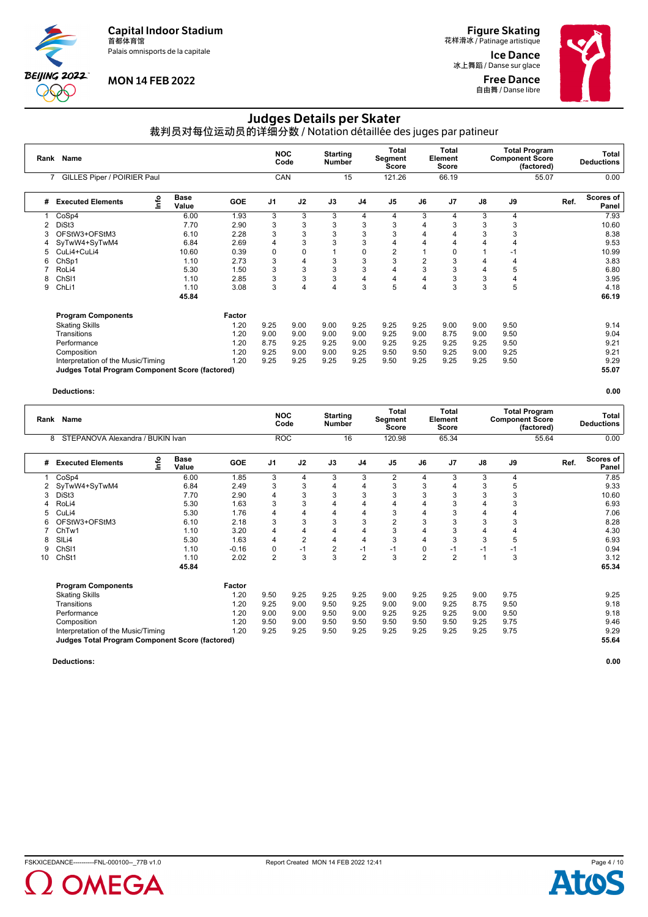Palais omnisports de la capitale



# **MON 14 FEB 2022**

**Figure Skating**<br>花样滑冰 / Patinage artistique

Ice Dance 冰上舞蹈 / Danse sur glace Free Dance **自由舞 / Danse libre** 



# Judges Details per Skater

裁判员对每位运动员的详细分数 / Notation détaillée des juges par patineur

|   | Rank Name<br>GILLES Piper / POIRIER Paul<br>7   |      |                      |            | <b>NOC</b>     | Code           | <b>Starting</b><br><b>Number</b> |                | Total<br>Segment<br>Score |                | Total<br>Element<br>Score |      | <b>Component Score</b> | <b>Total Program</b><br>(factored) |      | Total<br><b>Deductions</b> |
|---|-------------------------------------------------|------|----------------------|------------|----------------|----------------|----------------------------------|----------------|---------------------------|----------------|---------------------------|------|------------------------|------------------------------------|------|----------------------------|
|   |                                                 |      |                      |            | CAN            |                |                                  | 15             | 121.26                    |                | 66.19                     |      |                        | 55.07                              |      | 0.00                       |
| # | <b>Executed Elements</b>                        | Info | <b>Base</b><br>Value | <b>GOE</b> | J <sub>1</sub> | J2             | J3                               | J <sub>4</sub> | J <sub>5</sub>            | J6             | J <sub>7</sub>            | J8   | J9                     |                                    | Ref. | Scores of<br>Panel         |
|   | CoSp4                                           |      | 6.00                 | 1.93       | 3              | 3              | 3                                | 4              | 4                         | 3              | 4                         | 3    | 4                      |                                    |      | 7.93                       |
|   | DiSt <sub>3</sub>                               |      | 7.70                 | 2.90       | 3              | 3              | 3                                | 3              | 3                         |                | 3                         | 3    | 3                      |                                    |      | 10.60                      |
| 3 | OFStW3+OFStM3                                   |      | 6.10                 | 2.28       | 3              | 3              | 3                                | 3              | 3                         | 4              |                           | 3    | 3                      |                                    |      | 8.38                       |
| 4 | SyTwW4+SyTwM4                                   |      | 6.84                 | 2.69       | 4              | 3              | 3                                | 3              | 4                         | 4              |                           |      | 4                      |                                    |      | 9.53                       |
| 5 | CuLi4+CuLi4                                     |      | 10.60                | 0.39       | $\mathbf 0$    | 0              |                                  | 0              | $\overline{2}$            |                |                           |      | -1                     |                                    |      | 10.99                      |
| 6 | ChSp1                                           |      | 1.10                 | 2.73       | 3              | 4              | 3                                | 3              | 3                         | $\overline{2}$ | 3                         | 4    | 4                      |                                    |      | 3.83                       |
|   | RoLi4                                           |      | 5.30                 | 1.50       | 3              | 3              | 3                                | 3              | 4                         | 3              | 3                         | 4    | 5                      |                                    |      | 6.80                       |
| 8 | Ch <sub>SI1</sub>                               |      | 1.10                 | 2.85       | 3              | 3              | 3                                | 4              | 4                         | 4              | 3                         | 3    | 4                      |                                    |      | 3.95                       |
| 9 | ChLi1                                           |      | 1.10                 | 3.08       | 3              | $\overline{4}$ | 4                                | 3              | 5                         | 4              | 3                         | 3    | 5                      |                                    |      | 4.18                       |
|   |                                                 |      | 45.84                |            |                |                |                                  |                |                           |                |                           |      |                        |                                    |      | 66.19                      |
|   | <b>Program Components</b>                       |      |                      | Factor     |                |                |                                  |                |                           |                |                           |      |                        |                                    |      |                            |
|   | <b>Skating Skills</b>                           |      |                      | 1.20       | 9.25           | 9.00           | 9.00                             | 9.25           | 9.25                      | 9.25           | 9.00                      | 9.00 | 9.50                   |                                    |      | 9.14                       |
|   | Transitions                                     |      |                      | 1.20       | 9.00           | 9.00           | 9.00                             | 9.00           | 9.25                      | 9.00           | 8.75                      | 9.00 | 9.50                   |                                    |      | 9.04                       |
|   | Performance                                     |      |                      | 1.20       | 8.75           | 9.25           | 9.25                             | 9.00           | 9.25                      | 9.25           | 9.25                      | 9.25 | 9.50                   |                                    |      | 9.21                       |
|   | Composition                                     |      |                      | 1.20       | 9.25           | 9.00           | 9.00                             | 9.25           | 9.50                      | 9.50           | 9.25                      | 9.00 | 9.25                   |                                    |      | 9.21                       |
|   | Interpretation of the Music/Timing              |      |                      | 1.20       | 9.25           | 9.25           | 9.25                             | 9.25           | 9.50                      | 9.25           | 9.25                      | 9.25 | 9.50                   |                                    |      | 9.29                       |
|   | Judges Total Program Component Score (factored) |      |                      |            |                |                |                                  |                |                           |                |                           |      |                        |                                    |      | 55.07                      |

**Deductions: 0.00**

|    | Rank Name<br>STEPANOVA Alexandra / BUKIN Ivan<br>8     |      |                      |            | <b>NOC</b>     | Code           | <b>Starting</b><br><b>Number</b> |                | <b>Total</b><br>Segment<br><b>Score</b> |                | <b>Total</b><br>Element<br>Score |      | <b>Component Score</b> | <b>Total Program</b><br>(factored) |      | Total<br><b>Deductions</b> |
|----|--------------------------------------------------------|------|----------------------|------------|----------------|----------------|----------------------------------|----------------|-----------------------------------------|----------------|----------------------------------|------|------------------------|------------------------------------|------|----------------------------|
|    |                                                        |      |                      |            | <b>ROC</b>     |                |                                  | 16             | 120.98                                  |                | 65.34                            |      |                        | 55.64                              |      | 0.00                       |
| #  | <b>Executed Elements</b>                               | lnfo | <b>Base</b><br>Value | <b>GOE</b> | J <sub>1</sub> | J2             | J3                               | J <sub>4</sub> | J <sub>5</sub>                          | J6             | J7                               | J8   | J9                     |                                    | Ref. | <b>Scores of</b><br>Panel  |
|    | CoSp4                                                  |      | 6.00                 | 1.85       | 3              | 4              | 3                                | 3              | $\overline{2}$                          | 4              | 3                                | 3    | 4                      |                                    |      | 7.85                       |
|    | SyTwW4+SyTwM4                                          |      | 6.84                 | 2.49       | 3              | 3              | 4                                | 4              | 3                                       | 3              |                                  | 3    | 5                      |                                    |      | 9.33                       |
|    | DiSt3                                                  |      | 7.70                 | 2.90       | 4              | 3              | 3                                | 3              | 3                                       | 3              |                                  | 3    | 3                      |                                    |      | 10.60                      |
|    | RoLi4                                                  |      | 5.30                 | 1.63       | 3              | 3              | $\overline{4}$                   | 4              | 4                                       | 4              |                                  |      | 3                      |                                    |      | 6.93                       |
|    | CuLi4                                                  |      | 5.30                 | 1.76       | 4              | 4              | 4                                | 4              | 3                                       | 4              | 3                                | 4    | 4                      |                                    |      | 7.06                       |
|    | OFStW3+OFStM3                                          |      | 6.10                 | 2.18       | 3              | 3              | 3                                | 3              | $\overline{2}$                          | 3              |                                  | 3    | 3                      |                                    |      | 8.28                       |
|    | ChTw1                                                  |      | 1.10                 | 3.20       | 4              |                | 4                                | 4              | 3                                       | 4              |                                  |      | 4                      |                                    |      | 4.30                       |
|    | SIL <sub>i4</sub>                                      |      | 5.30                 | 1.63       | 4              | $\overline{2}$ | $\overline{4}$                   | $\overline{4}$ | 3                                       | $\overline{4}$ | 3                                | 3    | 5                      |                                    |      | 6.93                       |
| 9  | Ch <sub>SI1</sub>                                      |      | 1.10                 | $-0.16$    | $\mathbf 0$    | $-1$           | $\overline{2}$                   | $-1$           | $-1$                                    | $\Omega$       | $-1$                             | $-1$ | $-1$                   |                                    |      | 0.94                       |
| 10 | ChSt1                                                  |      | 1.10                 | 2.02       | $\overline{2}$ | 3              | 3                                | $\overline{2}$ | 3                                       | $\overline{2}$ | $\overline{2}$                   |      | 3                      |                                    |      | 3.12                       |
|    |                                                        |      | 45.84                |            |                |                |                                  |                |                                         |                |                                  |      |                        |                                    |      | 65.34                      |
|    | <b>Program Components</b>                              |      |                      | Factor     |                |                |                                  |                |                                         |                |                                  |      |                        |                                    |      |                            |
|    | <b>Skating Skills</b>                                  |      |                      | 1.20       | 9.50           | 9.25           | 9.25                             | 9.25           | 9.00                                    | 9.25           | 9.25                             | 9.00 | 9.75                   |                                    |      | 9.25                       |
|    | Transitions                                            |      |                      | 1.20       | 9.25           | 9.00           | 9.50                             | 9.25           | 9.00                                    | 9.00           | 9.25                             | 8.75 | 9.50                   |                                    |      | 9.18                       |
|    | Performance                                            |      |                      | 1.20       | 9.00           | 9.00           | 9.50                             | 9.00           | 9.25                                    | 9.25           | 9.25                             | 9.00 | 9.50                   |                                    |      | 9.18                       |
|    | Composition                                            |      |                      | 1.20       | 9.50           | 9.00           | 9.50                             | 9.50           | 9.50                                    | 9.50           | 9.50                             | 9.25 | 9.75                   |                                    |      | 9.46                       |
|    | Interpretation of the Music/Timing                     |      |                      | 1.20       | 9.25           | 9.25           | 9.50                             | 9.25           | 9.25                                    | 9.25           | 9.25                             | 9.25 | 9.75                   |                                    |      | 9.29                       |
|    | <b>Judges Total Program Component Score (factored)</b> |      |                      |            |                |                |                                  |                |                                         |                |                                  |      |                        |                                    |      | 55.64                      |



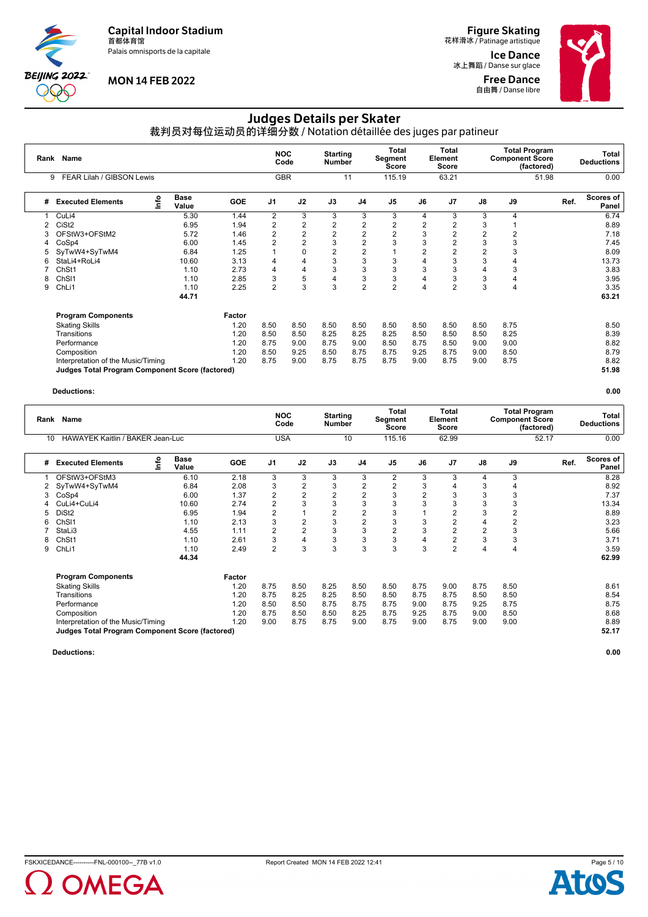Palais omnisports de la capitale



# **MON 14 FEB 2022**

**Figure Skating**<br>花样滑冰 / Patinage artistique

Ice Dance 冰上舞蹈 / Danse sur glace Free Dance **自由舞 / Danse libre** 



# Judges Details per Skater

裁判员对每位运动员的详细分数 / Notation détaillée des juges par patineur

| Rank | Name                                                   |      |                      |            | <b>NOC</b>     | Code           | <b>Starting</b><br><b>Number</b> |                | Total<br>Segment<br><b>Score</b> |      | Total<br>Element<br>Score |                | <b>Total Program</b><br><b>Component Score</b><br>(factored) |       | <b>Total</b><br><b>Deductions</b> |
|------|--------------------------------------------------------|------|----------------------|------------|----------------|----------------|----------------------------------|----------------|----------------------------------|------|---------------------------|----------------|--------------------------------------------------------------|-------|-----------------------------------|
|      | FEAR Lilah / GIBSON Lewis<br>9                         |      |                      |            | <b>GBR</b>     |                |                                  | 11             | 115.19                           |      | 63.21                     |                |                                                              | 51.98 | 0.00                              |
| #    | <b>Executed Elements</b>                               | lnfo | <b>Base</b><br>Value | <b>GOE</b> | J <sub>1</sub> | J2             | J3                               | J <sub>4</sub> | J <sub>5</sub>                   | J6   | J <sub>7</sub>            | J8             | J9                                                           | Ref.  | Scores of<br>Panel                |
|      | CuLi4                                                  |      | 5.30                 | 1.44       | 2              | 3              | 3                                | 3              | 3                                | 4    | 3                         | 3              | 4                                                            |       | 6.74                              |
| 2    | CiSt <sub>2</sub>                                      |      | 6.95                 | 1.94       | $\overline{2}$ | $\overline{2}$ | $\overline{2}$                   | 2              | 2                                | 2    | $\overline{2}$            | 3              |                                                              |       | 8.89                              |
| 3    | OFStW3+OFStM2                                          |      | 5.72                 | 1.46       | $\overline{2}$ | $\overline{2}$ | $\overline{2}$                   | $\overline{2}$ | $\overline{2}$                   | 3    | 2                         | $\overline{2}$ | 2                                                            |       | 7.18                              |
| 4    | CoSp4                                                  |      | 6.00                 | 1.45       | $\overline{2}$ | $\overline{2}$ | 3                                | $\overline{2}$ | 3                                | 3    | $\overline{2}$            | 3              | 3                                                            |       | 7.45                              |
| 5    | SyTwW4+SyTwM4                                          |      | 6.84                 | 1.25       |                | 0              | $\overline{2}$                   | 2              |                                  | 2    |                           | $\overline{2}$ | 3                                                            |       | 8.09                              |
| 6    | StaLi4+RoLi4                                           |      | 10.60                | 3.13       | 4              | 4              | 3                                | 3              | 3                                | 4    | 3                         | 3              | 4                                                            |       | 13.73                             |
|      | ChSt1                                                  |      | 1.10                 | 2.73       | 4              | 4              | 3                                | 3              | 3                                | 3    | 3                         | 4              | 3                                                            |       | 3.83                              |
| 8    | Ch <sub>SI1</sub>                                      |      | 1.10                 | 2.85       | 3              | 5              | 4                                | 3              | 3                                | 4    | 3                         | 3              | 4                                                            |       | 3.95                              |
| 9    | ChLi1                                                  |      | 1.10                 | 2.25       | $\overline{2}$ | 3              | 3                                | $\overline{2}$ | $\overline{2}$                   | 4    | $\overline{2}$            | 3              | 4                                                            |       | 3.35                              |
|      |                                                        |      | 44.71                |            |                |                |                                  |                |                                  |      |                           |                |                                                              |       | 63.21                             |
|      | <b>Program Components</b>                              |      |                      | Factor     |                |                |                                  |                |                                  |      |                           |                |                                                              |       |                                   |
|      | <b>Skating Skills</b>                                  |      |                      | 1.20       | 8.50           | 8.50           | 8.50                             | 8.50           | 8.50                             | 8.50 | 8.50                      | 8.50           | 8.75                                                         |       | 8.50                              |
|      | Transitions                                            |      |                      | 1.20       | 8.50           | 8.50           | 8.25                             | 8.25           | 8.25                             | 8.50 | 8.50                      | 8.50           | 8.25                                                         |       | 8.39                              |
|      | Performance                                            |      |                      | 1.20       | 8.75           | 9.00           | 8.75                             | 9.00           | 8.50                             | 8.75 | 8.50                      | 9.00           | 9.00                                                         |       | 8.82                              |
|      | Composition                                            |      |                      | 1.20       | 8.50           | 9.25           | 8.50                             | 8.75           | 8.75                             | 9.25 | 8.75                      | 9.00           | 8.50                                                         |       | 8.79                              |
|      | Interpretation of the Music/Timing                     |      |                      | 1.20       | 8.75           | 9.00           | 8.75                             | 8.75           | 8.75                             | 9.00 | 8.75                      | 9.00           | 8.75                                                         |       | 8.82                              |
|      | <b>Judges Total Program Component Score (factored)</b> |      |                      |            |                |                |                                  |                |                                  |      |                           |                |                                                              |       | 51.98                             |

**Deductions: 0.00**

| Rank | <b>Name</b>                                            |    |                      |            | <b>NOC</b>     | Code           | <b>Starting</b><br><b>Number</b> |                | <b>Total</b><br>Segment<br><b>Score</b> |                | Total<br>Element<br><b>Score</b> |                | <b>Component Score</b> | <b>Total Program</b><br>(factored) |      | Total<br><b>Deductions</b> |
|------|--------------------------------------------------------|----|----------------------|------------|----------------|----------------|----------------------------------|----------------|-----------------------------------------|----------------|----------------------------------|----------------|------------------------|------------------------------------|------|----------------------------|
| 10   | HAWAYEK Kaitlin / BAKER Jean-Luc                       |    |                      |            | <b>USA</b>     |                |                                  | 10             | 115.16                                  |                | 62.99                            |                |                        | 52.17                              |      | 0.00                       |
| #    | <b>Executed Elements</b>                               | ۴o | <b>Base</b><br>Value | <b>GOE</b> | J <sub>1</sub> | J2             | J3                               | J <sub>4</sub> | J <sub>5</sub>                          | J6             | J7                               | J8             | J9                     |                                    | Ref. | Scores of<br>Panel         |
|      | OFStW3+OFStM3                                          |    | 6.10                 | 2.18       | 3              | 3              | 3                                | 3              | 2                                       | 3              | 3                                | 4              | 3                      |                                    |      | 8.28                       |
| 2    | SyTwW4+SyTwM4                                          |    | 6.84                 | 2.08       | 3              | $\overline{2}$ | 3                                | 2              | 2                                       | 3              |                                  | 3              | 4                      |                                    |      | 8.92                       |
| 3    | CoSp4                                                  |    | 6.00                 | 1.37       | $\overline{2}$ | 2              | $\overline{2}$                   | $\overline{2}$ | 3                                       | $\overline{2}$ |                                  | 3              | 3                      |                                    |      | 7.37                       |
|      | CuLi4+CuLi4                                            |    | 10.60                | 2.74       | $\overline{2}$ | 3              | 3                                | 3              | 3                                       | 3              |                                  | 3              | 3                      |                                    |      | 13.34                      |
|      | DiSt <sub>2</sub>                                      |    | 6.95                 | 1.94       | $\overline{2}$ |                | $\overline{2}$                   | 2              | 3                                       |                |                                  | 3              | 2                      |                                    |      | 8.89                       |
|      | Ch <sub>SI1</sub>                                      |    | 1.10                 | 2.13       | 3              | $\overline{2}$ | 3                                | $\overline{2}$ | 3                                       | 3              | 2                                | 4              | 2                      |                                    |      | 3.23                       |
|      | StaLi3                                                 |    | 4.55                 | 1.11       | $\overline{2}$ | $\overline{2}$ | 3                                | 3              | 2                                       | 3              | $\overline{2}$                   | $\overline{2}$ | 3                      |                                    |      | 5.66                       |
| 8    | ChSt1                                                  |    | 1.10                 | 2.61       | 3              | $\overline{4}$ | 3                                | 3              | 3                                       | 4              | $\overline{2}$                   | 3              | 3                      |                                    |      | 3.71                       |
| 9    | ChL <sub>i1</sub>                                      |    | 1.10                 | 2.49       | $\overline{2}$ | 3              | 3                                | 3              | 3                                       | 3              | $\overline{2}$                   | 4              | 4                      |                                    |      | 3.59                       |
|      |                                                        |    | 44.34                |            |                |                |                                  |                |                                         |                |                                  |                |                        |                                    |      | 62.99                      |
|      | <b>Program Components</b>                              |    |                      | Factor     |                |                |                                  |                |                                         |                |                                  |                |                        |                                    |      |                            |
|      | <b>Skating Skills</b>                                  |    |                      | 1.20       | 8.75           | 8.50           | 8.25                             | 8.50           | 8.50                                    | 8.75           | 9.00                             | 8.75           | 8.50                   |                                    |      | 8.61                       |
|      | Transitions                                            |    |                      | 1.20       | 8.75           | 8.25           | 8.25                             | 8.50           | 8.50                                    | 8.75           | 8.75                             | 8.50           | 8.50                   |                                    |      | 8.54                       |
|      | Performance                                            |    |                      | 1.20       | 8.50           | 8.50           | 8.75                             | 8.75           | 8.75                                    | 9.00           | 8.75                             | 9.25           | 8.75                   |                                    |      | 8.75                       |
|      | Composition                                            |    |                      | 1.20       | 8.75           | 8.50           | 8.50                             | 8.25           | 8.75                                    | 9.25           | 8.75                             | 9.00           | 8.50                   |                                    |      | 8.68                       |
|      | Interpretation of the Music/Timing                     |    |                      | 1.20       | 9.00           | 8.75           | 8.75                             | 9.00           | 8.75                                    | 9.00           | 8.75                             | 9.00           | 9.00                   |                                    |      | 8.89                       |
|      | <b>Judges Total Program Component Score (factored)</b> |    |                      |            |                |                |                                  |                |                                         |                |                                  |                |                        |                                    |      | 52.17                      |

**Deductions: 0.00**

OMEGA



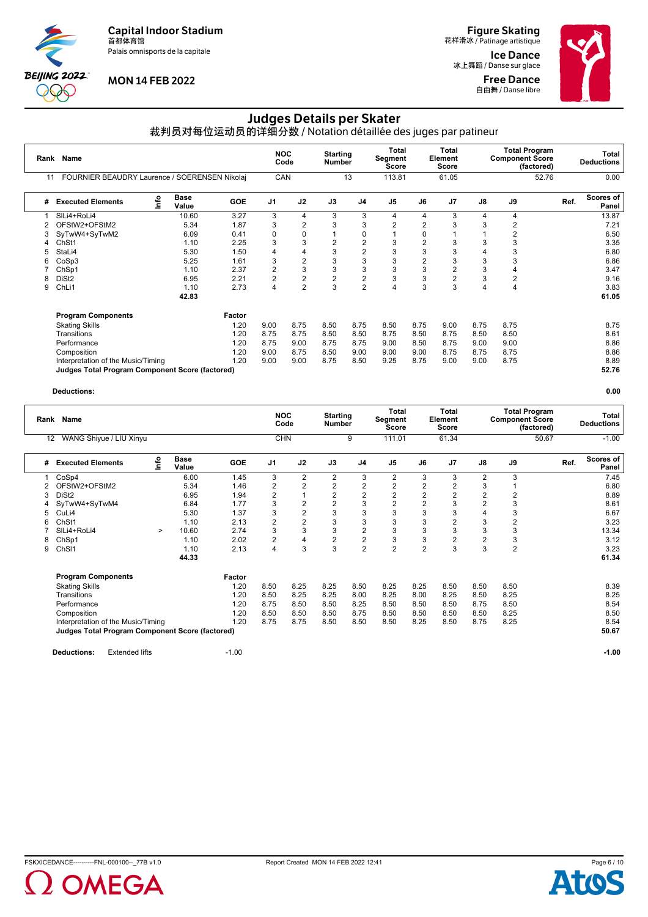Palais omnisports de la capitale



# **MON 14 FEB 2022**

**Figure Skating**<br>花样滑冰 / Patinage artistique

Ice Dance 冰上舞蹈 / Danse sur glace Free Dance **自由舞 / Danse libre** 



# Judges Details per Skater

裁判员对每位运动员的详细分数 / Notation détaillée des juges par patineur

|    | Rank Name                                              |    | <b>NOC</b>           | Code       | <b>Starting</b><br><b>Number</b> |                | Total<br><b>Segment</b><br><b>Score</b> |                | Total<br>Element<br><b>Score</b> |                | <b>Component Score</b> | <b>Total Program</b><br>(factored) |      | Total<br><b>Deductions</b> |      |                    |
|----|--------------------------------------------------------|----|----------------------|------------|----------------------------------|----------------|-----------------------------------------|----------------|----------------------------------|----------------|------------------------|------------------------------------|------|----------------------------|------|--------------------|
| 11 | FOURNIER BEAUDRY Laurence / SOERENSEN Nikolaj          |    |                      |            | CAN                              |                |                                         | 13             | 113.81                           |                | 61.05                  |                                    |      | 52.76                      |      | 0.00               |
| #  | <b>Executed Elements</b>                               | ۴o | <b>Base</b><br>Value | <b>GOE</b> | J <sub>1</sub>                   | J2             | J3                                      | J4             | J <sub>5</sub>                   | J6             | J7                     | J8                                 | J9   |                            | Ref. | Scores of<br>Panel |
|    | SILi4+RoLi4                                            |    | 10.60                | 3.27       | 3                                | 4              | 3                                       | 3              | 4                                | 4              | 3                      | 4                                  | 4    |                            |      | 13.87              |
|    | OFStW2+OFStM2                                          |    | 5.34                 | 1.87       | 3                                | 2              | 3                                       | 3              | 2                                | 2              | 3                      | 3                                  | 2    |                            |      | 7.21               |
| 3  | SyTwW4+SyTwM2                                          |    | 6.09                 | 0.41       | $\mathbf 0$                      | 0              |                                         | 0              |                                  | 0              |                        |                                    | 2    |                            |      | 6.50               |
| 4  | ChSt1                                                  |    | 1.10                 | 2.25       | 3                                | 3              | $\overline{c}$                          | 2              | 3                                | $\overline{2}$ | 3                      | 3                                  | 3    |                            |      | 3.35               |
| 5  | StaLi4                                                 |    | 5.30                 | 1.50       | 4                                | 4              | 3                                       | $\overline{2}$ | 3                                | 3              | 3                      | 4                                  | 3    |                            |      | 6.80               |
| 6  | CoSp3                                                  |    | 5.25                 | 1.61       | 3                                | $\overline{2}$ | 3                                       | 3              | 3                                | $\overline{2}$ | 3                      | 3                                  | 3    |                            |      | 6.86               |
|    | ChSp1                                                  |    | 1.10                 | 2.37       | $\overline{2}$                   | 3              | 3                                       | 3              | 3                                | 3              | $\overline{2}$         | 3                                  |      |                            |      | 3.47               |
| 8  | DiSt <sub>2</sub>                                      |    | 6.95                 | 2.21       | $\overline{2}$                   | $\overline{2}$ | $\overline{2}$                          | $\overline{2}$ | 3                                | 3              | $\overline{2}$         | 3                                  | 2    |                            |      | 9.16               |
| 9  | ChL <sub>i1</sub>                                      |    | 1.10                 | 2.73       | 4                                | $\overline{2}$ | 3                                       | $\overline{2}$ | 4                                | 3              | 3                      | 4                                  | 4    |                            |      | 3.83               |
|    |                                                        |    | 42.83                |            |                                  |                |                                         |                |                                  |                |                        |                                    |      |                            |      | 61.05              |
|    | <b>Program Components</b>                              |    |                      | Factor     |                                  |                |                                         |                |                                  |                |                        |                                    |      |                            |      |                    |
|    | <b>Skating Skills</b>                                  |    |                      | 1.20       | 9.00                             | 8.75           | 8.50                                    | 8.75           | 8.50                             | 8.75           | 9.00                   | 8.75                               | 8.75 |                            |      | 8.75               |
|    | Transitions                                            |    |                      | 1.20       | 8.75                             | 8.75           | 8.50                                    | 8.50           | 8.75                             | 8.50           | 8.75                   | 8.50                               | 8.50 |                            |      | 8.61               |
|    | Performance                                            |    |                      | 1.20       | 8.75                             | 9.00           | 8.75                                    | 8.75           | 9.00                             | 8.50           | 8.75                   | 9.00                               | 9.00 |                            |      | 8.86               |
|    | Composition                                            |    |                      | 1.20       | 9.00                             | 8.75           | 8.50                                    | 9.00           | 9.00                             | 9.00           | 8.75                   | 8.75                               | 8.75 |                            |      | 8.86               |
|    | Interpretation of the Music/Timing                     |    |                      | 1.20       | 9.00                             | 9.00           | 8.75                                    | 8.50           | 9.25                             | 8.75           | 9.00                   | 9.00                               | 8.75 |                            |      | 8.89               |
|    | <b>Judges Total Program Component Score (factored)</b> |    |                      |            |                                  |                |                                         |                |                                  |                |                        |                                    |      |                            |      | 52.76              |

| Rank              | <b>Name</b>                                            |        |                      |         | <b>NOC</b>              | Code           | <b>Starting</b><br><b>Number</b> |                | Total<br>Segment<br><b>Score</b> |                | Total<br>Element<br>Score |                | <b>Total Program</b><br><b>Component Score</b><br>(factored) |      | Total<br><b>Deductions</b> |
|-------------------|--------------------------------------------------------|--------|----------------------|---------|-------------------------|----------------|----------------------------------|----------------|----------------------------------|----------------|---------------------------|----------------|--------------------------------------------------------------|------|----------------------------|
| $12 \overline{ }$ | WANG Shiyue / LIU Xinyu                                |        |                      |         | <b>CHN</b>              |                |                                  | 9              | 111.01                           |                | 61.34                     |                | 50.67                                                        |      | $-1.00$                    |
| #                 | <b>Executed Elements</b>                               | Info   | <b>Base</b><br>Value | GOE     | J <sub>1</sub>          | J2             | J3                               | J <sub>4</sub> | J <sub>5</sub>                   | J6             | J7                        | J8             | J9                                                           | Ref. | <b>Scores of</b><br>Panel  |
|                   | CoSp4                                                  |        | 6.00                 | 1.45    | 3                       | $\overline{2}$ | $\overline{2}$                   | 3              | 2                                | 3              | 3                         | $\overline{2}$ | 3                                                            |      | 7.45                       |
|                   | OFStW2+OFStM2                                          |        | 5.34                 | 1.46    | $\overline{\mathbf{c}}$ | $\overline{2}$ | $\overline{2}$                   | 2              | 2                                | 2              | $\overline{2}$            | 3              |                                                              |      | 6.80                       |
|                   | DiSt <sub>2</sub>                                      |        | 6.95                 | 1.94    | $\overline{\mathbf{c}}$ |                | $\overline{c}$                   | $\overline{c}$ | $\overline{\mathbf{c}}$          | $\overline{2}$ | 2                         | $\overline{2}$ | 2                                                            |      | 8.89                       |
|                   | SyTwW4+SyTwM4                                          |        | 6.84                 | 1.77    | 3                       | $\overline{2}$ | $\overline{2}$                   | 3              | 2                                | $\overline{2}$ | 3                         | $\overline{2}$ | 3                                                            |      | 8.61                       |
|                   | CuLi4                                                  |        | 5.30                 | 1.37    | 3                       | $\overline{2}$ | 3                                | 3              | 3                                | 3              | 3                         | $\overline{4}$ | 3                                                            |      | 6.67                       |
| 6                 | ChSt1                                                  |        | 1.10                 | 2.13    | $\overline{2}$          | $\overline{2}$ | 3                                | 3              | 3                                | 3              | 2                         | 3              | 2                                                            |      | 3.23                       |
|                   | SILi4+RoLi4                                            | $\geq$ | 10.60                | 2.74    | 3                       | 3              | 3                                | $\overline{2}$ | 3                                | 3              | 3                         | 3              | 3                                                            |      | 13.34                      |
| 8                 | ChSp1                                                  |        | 1.10                 | 2.02    | $\overline{\mathbf{c}}$ | 4              | $\overline{c}$                   | $\overline{2}$ | 3                                | 3              | $\overline{2}$            | $\overline{2}$ | 3                                                            |      | 3.12                       |
| 9                 | Ch <sub>SI1</sub>                                      |        | 1.10                 | 2.13    | 4                       | 3              | 3                                | $\overline{2}$ | $\overline{2}$                   | $\overline{2}$ | 3                         | 3              | $\overline{2}$                                               |      | 3.23                       |
|                   |                                                        |        | 44.33                |         |                         |                |                                  |                |                                  |                |                           |                |                                                              |      | 61.34                      |
|                   | <b>Program Components</b>                              |        |                      | Factor  |                         |                |                                  |                |                                  |                |                           |                |                                                              |      |                            |
|                   | <b>Skating Skills</b>                                  |        |                      | 1.20    | 8.50                    | 8.25           | 8.25                             | 8.50           | 8.25                             | 8.25           | 8.50                      | 8.50           | 8.50                                                         |      | 8.39                       |
|                   | Transitions                                            |        |                      | 1.20    | 8.50                    | 8.25           | 8.25                             | 8.00           | 8.25                             | 8.00           | 8.25                      | 8.50           | 8.25                                                         |      | 8.25                       |
|                   | Performance                                            |        |                      | 1.20    | 8.75                    | 8.50           | 8.50                             | 8.25           | 8.50                             | 8.50           | 8.50                      | 8.75           | 8.50                                                         |      | 8.54                       |
|                   | Composition                                            |        |                      | 1.20    | 8.50                    | 8.50           | 8.50                             | 8.75           | 8.50                             | 8.50           | 8.50                      | 8.50           | 8.25                                                         |      | 8.50                       |
|                   | Interpretation of the Music/Timing                     |        |                      | 1.20    | 8.75                    | 8.75           | 8.50                             | 8.50           | 8.50                             | 8.25           | 8.50                      | 8.75           | 8.25                                                         |      | 8.54                       |
|                   | <b>Judges Total Program Component Score (factored)</b> |        |                      |         |                         |                |                                  |                |                                  |                |                           |                |                                                              |      | 50.67                      |
|                   | <b>Extended lifts</b><br><b>Deductions:</b>            |        |                      | $-1.00$ |                         |                |                                  |                |                                  |                |                           |                |                                                              |      | $-1.00$                    |

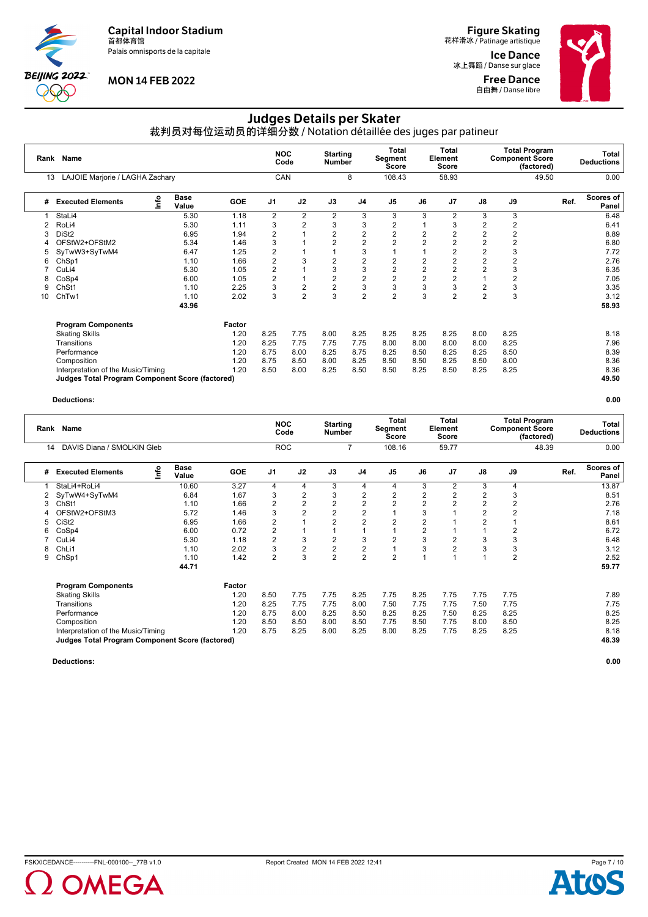Palais omnisports de la capitale



#### **MON 14 FEB 2022**

**Figure Skating**<br>花样滑冰 / Patinage artistique

Ice Dance 冰上舞蹈 / Danse sur glace Free Dance **自由舞 / Danse libre** 



# Judges Details per Skater

裁判员对每位运动员的详细分数 / Notation détaillée des juges par patineur

|    | Rank Name                                              |      |                      |            | <b>NOC</b>              | Code           |                | <b>Starting</b><br><b>Number</b> |                | Segment<br><b>Score</b> | <b>Total</b><br>Element<br>Score | <b>Total Program</b><br><b>Component Score</b><br>(factored) |      |       |      | Total<br><b>Deductions</b> |
|----|--------------------------------------------------------|------|----------------------|------------|-------------------------|----------------|----------------|----------------------------------|----------------|-------------------------|----------------------------------|--------------------------------------------------------------|------|-------|------|----------------------------|
| 13 | LAJOIE Marjorie / LAGHA Zachary                        |      |                      |            | CAN                     |                |                | 8                                | 108.43         |                         | 58.93                            |                                                              |      | 49.50 |      | 0.00                       |
| #  | <b>Executed Elements</b>                               | Info | <b>Base</b><br>Value | <b>GOE</b> | J <sub>1</sub>          | J2             | J3             | J <sub>4</sub>                   | J <sub>5</sub> | J6                      | J7                               | J8                                                           | J9   |       | Ref. | Scores of<br>Panel         |
|    | StaLi4                                                 |      | 5.30                 | 1.18       | $\overline{2}$          | 2              | 2              | 3                                | 3              | 3                       | $\overline{2}$                   | 3                                                            | 3    |       |      | 6.48                       |
|    | RoLi4                                                  |      | 5.30                 | 1.11       | 3                       | $\overline{2}$ | 3              | 3                                | 2              |                         | 3                                | 2                                                            | 2    |       |      | 6.41                       |
| 3  | DiSt <sub>2</sub>                                      |      | 6.95                 | 1.94       | $\overline{\mathbf{c}}$ |                | $\overline{2}$ | $\overline{2}$                   | $\overline{2}$ | $\overline{2}$          | $\overline{2}$                   | $\overline{2}$                                               | 2    |       |      | 8.89                       |
|    | OFStW2+OFStM2                                          |      | 5.34                 | 1.46       | 3                       |                | $\overline{2}$ | $\overline{2}$                   | 2              | 2                       | 2                                | 2                                                            | 2    |       |      | 6.80                       |
| 5  | SyTwW3+SyTwM4                                          |      | 6.47                 | 1.25       | $\overline{2}$          |                |                | 3                                |                |                         | $\overline{2}$                   | $\overline{2}$                                               | 3    |       |      | 7.72                       |
| 6  | ChSp1                                                  |      | 1.10                 | 1.66       | $\overline{2}$          |                | $\overline{2}$ | $\overline{2}$                   | $\overline{2}$ | $\overline{2}$          | $\overline{2}$                   | $\overline{2}$                                               | 2    |       |      | 2.76                       |
|    | CuLi4                                                  |      | 5.30                 | 1.05       | $\overline{2}$          |                | 3              | 3                                | $\overline{2}$ | 2                       | $\overline{2}$                   | $\overline{2}$                                               | 3    |       |      | 6.35                       |
| 8  | CoSp4                                                  |      | 6.00                 | 1.05       | $\overline{2}$          |                | $\overline{2}$ | $\overline{2}$                   | $\overline{2}$ | $\overline{2}$          | $\overline{2}$                   |                                                              | 2    |       |      | 7.05                       |
| 9  | Ch <sub>St1</sub>                                      |      | 1.10                 | 2.25       | 3                       | $\overline{2}$ | $\overline{2}$ | 3                                | 3              | 3                       | 3                                | $\overline{2}$                                               | 3    |       |      | 3.35                       |
| 10 | ChTw1                                                  |      | 1.10                 | 2.02       | 3                       | $\overline{2}$ | 3              | $\overline{2}$                   | $\overline{2}$ | 3                       | $\overline{2}$                   | $\overline{2}$                                               | 3    |       |      | 3.12                       |
|    |                                                        |      | 43.96                |            |                         |                |                |                                  |                |                         |                                  |                                                              |      |       |      | 58.93                      |
|    | <b>Program Components</b>                              |      |                      | Factor     |                         |                |                |                                  |                |                         |                                  |                                                              |      |       |      |                            |
|    | <b>Skating Skills</b>                                  |      |                      | 1.20       | 8.25                    | 7.75           | 8.00           | 8.25                             | 8.25           | 8.25                    | 8.25                             | 8.00                                                         | 8.25 |       |      | 8.18                       |
|    | Transitions                                            |      |                      | 1.20       | 8.25                    | 7.75           | 7.75           | 7.75                             | 8.00           | 8.00                    | 8.00                             | 8.00                                                         | 8.25 |       |      | 7.96                       |
|    | Performance                                            |      |                      | 1.20       | 8.75                    | 8.00           | 8.25           | 8.75                             | 8.25           | 8.50                    | 8.25                             | 8.25                                                         | 8.50 |       |      | 8.39                       |
|    | Composition                                            |      |                      | 1.20       | 8.75                    | 8.50           | 8.00           | 8.25                             | 8.50           | 8.50                    | 8.25                             | 8.50                                                         | 8.00 |       |      | 8.36                       |
|    | Interpretation of the Music/Timing                     |      |                      | 1.20       | 8.50                    | 8.00           | 8.25           | 8.50                             | 8.50           | 8.25                    | 8.50                             | 8.25                                                         | 8.25 |       |      | 8.36                       |
|    | <b>Judges Total Program Component Score (factored)</b> |      |                      |            |                         |                |                |                                  |                |                         |                                  |                                                              |      |       |      | 49.50                      |

#### **Deductions: 0.00**

|    | Rank Name                                              |      |                      |            | <b>NOC</b>              | Code | <b>Starting</b><br>Number |                | Total<br>Segment<br>Score |                | Total<br>Element<br><b>Score</b> | <b>Total Program</b><br><b>Component Score</b><br>(factored) |                |       |      | Total<br><b>Deductions</b> |
|----|--------------------------------------------------------|------|----------------------|------------|-------------------------|------|---------------------------|----------------|---------------------------|----------------|----------------------------------|--------------------------------------------------------------|----------------|-------|------|----------------------------|
| 14 | DAVIS Diana / SMOLKIN Gleb                             |      |                      |            | <b>ROC</b>              |      |                           | 7              | 108.16                    |                | 59.77                            |                                                              |                | 48.39 |      | 0.00                       |
| #  | <b>Executed Elements</b>                               | lnfo | <b>Base</b><br>Value | <b>GOE</b> | J <sub>1</sub>          | J2   | J3                        | J <sub>4</sub> | J <sub>5</sub>            | J6             | J <sub>7</sub>                   | J8                                                           | J9             |       | Ref. | Scores of<br>Panel         |
|    | StaLi4+RoLi4                                           |      | 10.60                | 3.27       | 4                       | 4    | 3                         | 4              | 4                         | 3              | $\overline{2}$                   | 3                                                            | 4              |       |      | 13.87                      |
|    | SyTwW4+SyTwM4                                          |      | 6.84                 | 1.67       | 3                       | 2    | 3                         | $\overline{2}$ | 2                         | 2              | 2                                | $\overline{2}$                                               | 3              |       |      | 8.51                       |
| 3  | Ch <sub>St1</sub>                                      |      | 1.10                 | 1.66       | $\overline{2}$          | 2    | $\overline{2}$            | 2              | $\overline{2}$            | $\overline{2}$ |                                  | $\overline{2}$                                               | $\overline{2}$ |       |      | 2.76                       |
|    | OFStW2+OFStM3                                          |      | 5.72                 | 1.46       | 3                       | 2    | $\overline{c}$            | $\overline{c}$ |                           | 3              |                                  | $\overline{2}$                                               | 2              |       |      | 7.18                       |
| 5  | CiSt <sub>2</sub>                                      |      | 6.95                 | 1.66       | $\overline{2}$          |      | $\overline{2}$            | $\overline{2}$ | 2                         | 2              |                                  | $\overline{c}$                                               |                |       |      | 8.61                       |
| 6  | CoSp4                                                  |      | 6.00                 | 0.72       | $\overline{\mathbf{c}}$ |      |                           | $\overline{A}$ |                           | 2              |                                  |                                                              | $\overline{2}$ |       |      | 6.72                       |
|    | CuLi4                                                  |      | 5.30                 | 1.18       | $\overline{2}$          | 3    | 2                         | 3              | 2                         | 3              |                                  | 3                                                            | 3              |       |      | 6.48                       |
| 8  | ChL <sub>i1</sub>                                      |      | 1.10                 | 2.02       | 3                       | 2    | 2                         | $\overline{2}$ |                           | 3              |                                  | 3                                                            | 3              |       |      | 3.12                       |
| 9  | ChSp1                                                  |      | 1.10                 | 1.42       | $\overline{2}$          | 3    | $\overline{2}$            | $\overline{2}$ | $\overline{2}$            |                |                                  |                                                              | $\overline{2}$ |       |      | 2.52                       |
|    |                                                        |      | 44.71                |            |                         |      |                           |                |                           |                |                                  |                                                              |                |       |      | 59.77                      |
|    | <b>Program Components</b>                              |      |                      | Factor     |                         |      |                           |                |                           |                |                                  |                                                              |                |       |      |                            |
|    | <b>Skating Skills</b>                                  |      |                      | 1.20       | 8.50                    | 7.75 | 7.75                      | 8.25           | 7.75                      | 8.25           | 7.75                             | 7.75                                                         | 7.75           |       |      | 7.89                       |
|    | Transitions                                            |      |                      | 1.20       | 8.25                    | 7.75 | 7.75                      | 8.00           | 7.50                      | 7.75           | 7.75                             | 7.50                                                         | 7.75           |       |      | 7.75                       |
|    | Performance                                            |      |                      | 1.20       | 8.75                    | 8.00 | 8.25                      | 8.50           | 8.25                      | 8.25           | 7.50                             | 8.25                                                         | 8.25           |       |      | 8.25                       |
|    | Composition                                            |      |                      | 1.20       | 8.50                    | 8.50 | 8.00                      | 8.50           | 7.75                      | 8.50           | 7.75                             | 8.00                                                         | 8.50           |       |      | 8.25                       |
|    | Interpretation of the Music/Timing                     |      |                      | 1.20       | 8.75                    | 8.25 | 8.00                      | 8.25           | 8.00                      | 8.25           | 7.75                             | 8.25                                                         | 8.25           |       |      | 8.18                       |
|    | <b>Judges Total Program Component Score (factored)</b> |      |                      |            |                         |      |                           |                |                           |                |                                  |                                                              |                |       |      | 48.39                      |





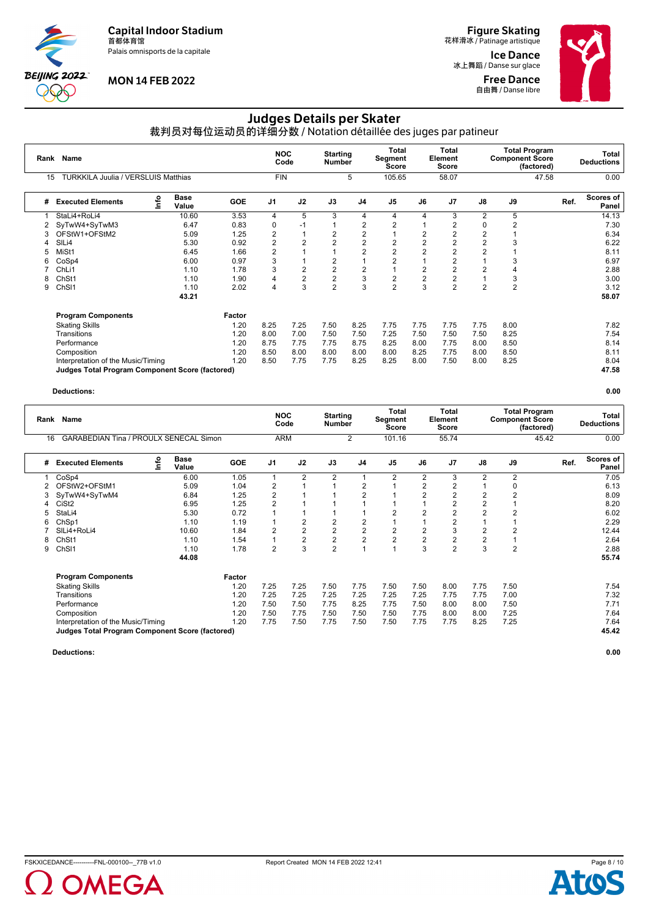Palais omnisports de la capitale



# **MON 14 FEB 2022**

**Figure Skating**<br>花样滑冰 / Patinage artistique

Ice Dance 冰上舞蹈 / Danse sur glace Free Dance **自由舞 / Danse libre** 



# Judges Details per Skater

裁判员对每位运动员的详细分数 / Notation détaillée des juges par patineur

|    | Rank Name                                              |      |                      |            | <b>NOC</b>     | Code                    | <b>Starting</b><br><b>Number</b> |                | Total<br>Segment<br><b>Score</b> |                | Total<br>Element<br>Score |                | <b>Total Program</b><br><b>Component Score</b><br>(factored) |       |      | Total<br><b>Deductions</b> |
|----|--------------------------------------------------------|------|----------------------|------------|----------------|-------------------------|----------------------------------|----------------|----------------------------------|----------------|---------------------------|----------------|--------------------------------------------------------------|-------|------|----------------------------|
| 15 | <b>TURKKILA Juulia / VERSLUIS Matthias</b>             |      |                      |            | <b>FIN</b>     |                         |                                  | 5              | 105.65                           |                | 58.07                     |                |                                                              | 47.58 |      | 0.00                       |
| #  | <b>Executed Elements</b>                               | ١nfo | <b>Base</b><br>Value | <b>GOE</b> | J <sub>1</sub> | J2                      | J3                               | J <sub>4</sub> | J <sub>5</sub>                   | J6             | J7                        | J8             | J9                                                           |       | Ref. | Scores of<br>Panel         |
|    | StaLi4+RoLi4                                           |      | 10.60                | 3.53       | 4              | 5                       | 3                                | 4              | 4                                | 4              | 3                         | 2              | 5                                                            |       |      | 14.13                      |
| 2  | SyTwW4+SyTwM3                                          |      | 6.47                 | 0.83       | 0              | -1                      |                                  | 2              | 2                                |                | 2                         | 0              | 2                                                            |       |      | 7.30                       |
| 3  | OFStW1+OFStM2                                          |      | 5.09                 | 1.25       | $\overline{2}$ |                         | $\overline{2}$                   | $\overline{2}$ |                                  | 2              | 2                         | $\overline{2}$ |                                                              |       |      | 6.34                       |
|    | SIL <sub>i4</sub>                                      |      | 5.30                 | 0.92       | $\overline{2}$ | 2                       | $\overline{2}$                   | 2              | 2                                | $\overline{2}$ |                           | $\overline{2}$ | 3                                                            |       |      | 6.22                       |
| 5  | MiSt1                                                  |      | 6.45                 | 1.66       | $\overline{2}$ |                         |                                  | $\overline{2}$ | $\overline{2}$                   | $\overline{2}$ |                           | $\overline{2}$ |                                                              |       |      | 8.11                       |
| 6  | CoSp4                                                  |      | 6.00                 | 0.97       | 3              |                         | $\overline{2}$                   |                | $\overline{2}$                   |                | $\overline{2}$            |                | 3                                                            |       |      | 6.97                       |
|    | ChL <sub>i1</sub>                                      |      | 1.10                 | 1.78       | 3              | $\overline{2}$          | $\overline{2}$                   | $\overline{2}$ |                                  | $\overline{2}$ | 2                         | $\overline{2}$ |                                                              |       |      | 2.88                       |
| 8  | Ch <sub>St1</sub>                                      |      | 1.10                 | 1.90       | 4              | $\overline{\mathbf{c}}$ | $\overline{c}$                   | 3              | $\overline{\mathbf{c}}$          | $\overline{2}$ | $\overline{2}$            |                | 3                                                            |       |      | 3.00                       |
| 9  | ChS <sub>11</sub>                                      |      | 1.10                 | 2.02       | 4              | 3                       | $\overline{2}$                   | 3              | $\overline{2}$                   | 3              | $\overline{2}$            | $\overline{2}$ | $\overline{2}$                                               |       |      | 3.12                       |
|    |                                                        |      | 43.21                |            |                |                         |                                  |                |                                  |                |                           |                |                                                              |       |      | 58.07                      |
|    | <b>Program Components</b>                              |      |                      | Factor     |                |                         |                                  |                |                                  |                |                           |                |                                                              |       |      |                            |
|    | <b>Skating Skills</b>                                  |      |                      | 1.20       | 8.25           | 7.25                    | 7.50                             | 8.25           | 7.75                             | 7.75           | 7.75                      | 7.75           | 8.00                                                         |       |      | 7.82                       |
|    | Transitions                                            |      |                      | 1.20       | 8.00           | 7.00                    | 7.50                             | 7.50           | 7.25                             | 7.50           | 7.50                      | 7.50           | 8.25                                                         |       |      | 7.54                       |
|    | Performance                                            |      |                      | 1.20       | 8.75           | 7.75                    | 7.75                             | 8.75           | 8.25                             | 8.00           | 7.75                      | 8.00           | 8.50                                                         |       |      | 8.14                       |
|    | Composition                                            |      |                      | 1.20       | 8.50           | 8.00                    | 8.00                             | 8.00           | 8.00                             | 8.25           | 7.75                      | 8.00           | 8.50                                                         |       |      | 8.11                       |
|    | Interpretation of the Music/Timing                     |      |                      | 1.20       | 8.50           | 7.75                    | 7.75                             | 8.25           | 8.25                             | 8.00           | 7.50                      | 8.00           | 8.25                                                         |       |      | 8.04                       |
|    | <b>Judges Total Program Component Score (factored)</b> |      |                      |            |                |                         |                                  |                |                                  |                |                           |                |                                                              |       |      | 47.58                      |

**Deductions: 0.00**

|    | Rank Name                                              |    |                      |            | <b>NOC</b>     | Code                    | <b>Starting</b><br><b>Number</b> |                | <b>Total</b><br>Segment<br>Score |                | Total<br>Element<br>Score | <b>Total Program</b><br><b>Component Score</b><br>(factored) |                |       |      | Total<br><b>Deductions</b> |
|----|--------------------------------------------------------|----|----------------------|------------|----------------|-------------------------|----------------------------------|----------------|----------------------------------|----------------|---------------------------|--------------------------------------------------------------|----------------|-------|------|----------------------------|
| 16 | GARABEDIAN Tina / PROULX SENECAL Simon                 |    |                      |            | <b>ARM</b>     |                         |                                  | $\overline{2}$ | 101.16                           |                | 55.74                     |                                                              |                | 45.42 |      | 0.00                       |
| #  | <b>Executed Elements</b>                               | ۴o | <b>Base</b><br>Value | <b>GOE</b> | J <sub>1</sub> | J2                      | J3                               | J <sub>4</sub> | J <sub>5</sub>                   | J6             | J7                        | J8                                                           | J9             |       | Ref. | Scores of<br>Panel         |
|    | CoSp4                                                  |    | 6.00                 | 1.05       | $\overline{1}$ | 2                       | 2                                |                | 2                                | $\overline{2}$ | 3                         | $\overline{2}$                                               | 2              |       |      | 7.05                       |
| 2  | OFStW2+OFStM1                                          |    | 5.09                 | 1.04       | 2              |                         |                                  | $\overline{2}$ |                                  | 2              | 2                         |                                                              | 0              |       |      | 6.13                       |
|    | SyTwW4+SyTwM4                                          |    | 6.84                 | 1.25       | $\overline{2}$ |                         |                                  | 2              |                                  | $\overline{2}$ |                           | $\overline{2}$                                               | $\overline{2}$ |       |      | 8.09                       |
|    | CiSt <sub>2</sub>                                      |    | 6.95                 | 1.25       | $\overline{2}$ |                         |                                  |                |                                  |                | $\overline{2}$            | $\overline{2}$                                               |                |       |      | 8.20                       |
|    | StaLi4                                                 |    | 5.30                 | 0.72       |                |                         |                                  |                | $\overline{2}$                   | $\overline{2}$ | 2                         | $\overline{2}$                                               | 2              |       |      | 6.02                       |
| 6  | ChSp1                                                  |    | 1.10                 | 1.19       |                | $\overline{2}$          | $\overline{2}$                   | $\overline{2}$ |                                  |                | $\overline{2}$            |                                                              |                |       |      | 2.29                       |
|    | SILi4+RoLi4                                            |    | 10.60                | 1.84       | 2              | $\overline{2}$          | $\overline{2}$                   | $\overline{c}$ | 2                                | $\overline{2}$ | 3                         | $\overline{2}$                                               | 2              |       |      | 12.44                      |
| 8  | Ch <sub>St1</sub>                                      |    | 1.10                 | 1.54       |                | $\overline{\mathbf{c}}$ | $\sqrt{2}$                       | $\overline{c}$ | $\overline{c}$                   | $\overline{2}$ | $\overline{2}$            | $\overline{2}$                                               |                |       |      | 2.64                       |
| 9  | Ch <sub>SI1</sub>                                      |    | 1.10                 | 1.78       | $\overline{2}$ | 3                       | $\overline{2}$                   |                | $\overline{A}$                   | 3              | $\overline{2}$            | 3                                                            | 2              |       |      | 2.88                       |
|    |                                                        |    | 44.08                |            |                |                         |                                  |                |                                  |                |                           |                                                              |                |       |      | 55.74                      |
|    | <b>Program Components</b>                              |    |                      | Factor     |                |                         |                                  |                |                                  |                |                           |                                                              |                |       |      |                            |
|    | <b>Skating Skills</b>                                  |    |                      | 1.20       | 7.25           | 7.25                    | 7.50                             | 7.75           | 7.50                             | 7.50           | 8.00                      | 7.75                                                         | 7.50           |       |      | 7.54                       |
|    | Transitions                                            |    |                      | 1.20       | 7.25           | 7.25                    | 7.25                             | 7.25           | 7.25                             | 7.25           | 7.75                      | 7.75                                                         | 7.00           |       |      | 7.32                       |
|    | Performance                                            |    |                      | 1.20       | 7.50           | 7.50                    | 7.75                             | 8.25           | 7.75                             | 7.50           | 8.00                      | 8.00                                                         | 7.50           |       |      | 7.71                       |
|    | Composition                                            |    |                      | 1.20       | 7.50           | 7.75                    | 7.50                             | 7.50           | 7.50                             | 7.75           | 8.00                      | 8.00                                                         | 7.25           |       |      | 7.64                       |
|    | Interpretation of the Music/Timing                     |    |                      | 1.20       | 7.75           | 7.50                    | 7.75                             | 7.50           | 7.50                             | 7.75           | 7.75                      | 8.25                                                         | 7.25           |       |      | 7.64                       |
|    | <b>Judges Total Program Component Score (factored)</b> |    |                      |            |                |                         |                                  |                |                                  |                |                           |                                                              |                |       |      | 45.42                      |
|    |                                                        |    |                      |            |                |                         |                                  |                |                                  |                |                           |                                                              |                |       |      |                            |



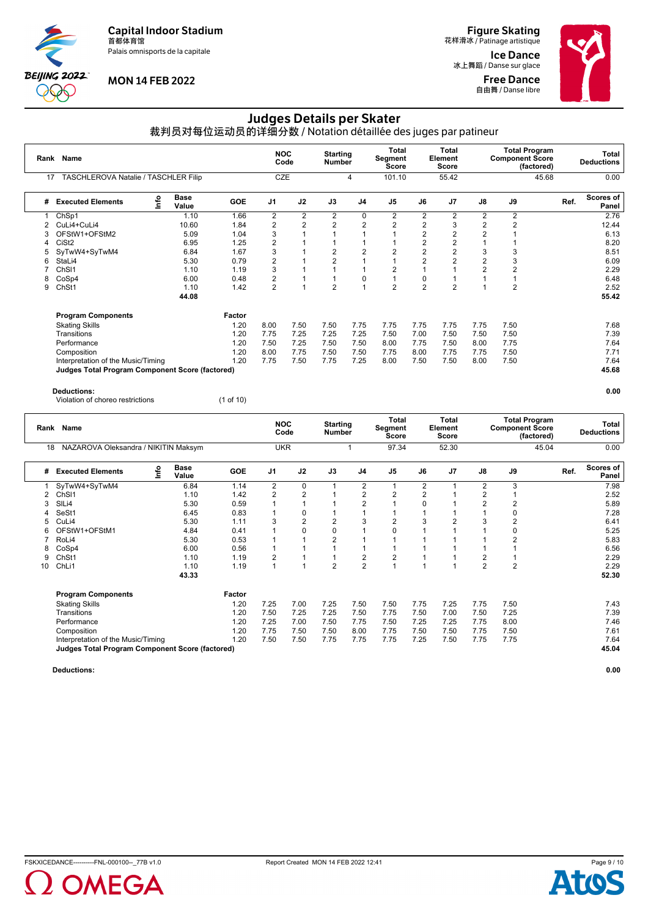Palais omnisports de la capitale



# **MON 14 FEB 2022**

**Figure Skating**<br>花样滑冰 / Patinage artistique

Ice Dance 冰上舞蹈 / Danse sur glace Free Dance **自由舞 / Danse libre** 



# Judges Details per Skater

裁判员对每位运动员的详细分数 / Notation détaillée des juges par patineur

|    | Rank Name                                              |      |                      |            |                | <b>NOC</b><br>Code | <b>Starting</b><br><b>Number</b> |                | <b>Total</b><br>Segment<br><b>Score</b> |                | <b>Total</b><br>Element<br>Score |                | <b>Component Score</b> | <b>Total Program</b><br>(factored) |      | Total<br><b>Deductions</b> |
|----|--------------------------------------------------------|------|----------------------|------------|----------------|--------------------|----------------------------------|----------------|-----------------------------------------|----------------|----------------------------------|----------------|------------------------|------------------------------------|------|----------------------------|
| 17 | TASCHLEROVA Natalie / TASCHLER Filip                   |      |                      |            | <b>CZE</b>     |                    |                                  | 4              | 101.10                                  |                | 55.42                            |                |                        | 45.68                              |      | 0.00                       |
| #  | <b>Executed Elements</b>                               | Info | <b>Base</b><br>Value | <b>GOE</b> | J <sub>1</sub> | J2                 | J3                               | J <sub>4</sub> | J <sub>5</sub>                          | J6             | J <sub>7</sub>                   | J8             | J9                     |                                    | Ref. | Scores of<br>Panel         |
|    | ChSp1                                                  |      | 1.10                 | 1.66       | $\overline{2}$ | 2                  | 2                                | 0              | 2                                       | 2              | $\overline{2}$                   | 2              | 2                      |                                    |      | 2.76                       |
|    | CuLi4+CuLi4                                            |      | 10.60                | 1.84       | $\overline{2}$ | $\overline{2}$     | $\overline{2}$                   | 2              | 2                                       | 2              | 3                                | $\overline{2}$ | 2                      |                                    |      | 12.44                      |
|    | OFStW1+OFStM2                                          |      | 5.09                 | 1.04       | 3              |                    |                                  |                |                                         | 2              | $\overline{2}$                   | $\overline{2}$ |                        |                                    |      | 6.13                       |
| 4  | CiSt <sub>2</sub>                                      |      | 6.95                 | 1.25       | $\overline{2}$ |                    |                                  |                |                                         | 2              | 2                                |                |                        |                                    |      | 8.20                       |
| 5  | SyTwW4+SyTwM4                                          |      | 6.84                 | 1.67       | 3              |                    | $\overline{2}$                   | $\overline{2}$ | 2                                       | $\overline{2}$ | $\overline{2}$                   | 3              | 3                      |                                    |      | 8.51                       |
| 6  | StaLi4                                                 |      | 5.30                 | 0.79       | $\overline{2}$ |                    | 2                                | 1              |                                         | $\overline{2}$ | 2                                | $\overline{2}$ | 3                      |                                    |      | 6.09                       |
|    | Ch <sub>SI1</sub>                                      |      | 1.10                 | 1.19       | 3              |                    |                                  |                | $\overline{2}$                          |                |                                  | $\overline{2}$ | $\overline{2}$         |                                    |      | 2.29                       |
| 8  | CoSp4                                                  |      | 6.00                 | 0.48       | $\overline{2}$ |                    |                                  | 0              |                                         | 0              |                                  |                |                        |                                    |      | 6.48                       |
| 9  | ChSt1                                                  |      | 1.10                 | 1.42       | $\overline{2}$ |                    | $\overline{2}$                   | 4              | $\overline{2}$                          | $\overline{2}$ | $\overline{2}$                   |                | $\overline{2}$         |                                    |      | 2.52                       |
|    |                                                        |      | 44.08                |            |                |                    |                                  |                |                                         |                |                                  |                |                        |                                    |      | 55.42                      |
|    | <b>Program Components</b>                              |      |                      | Factor     |                |                    |                                  |                |                                         |                |                                  |                |                        |                                    |      |                            |
|    | <b>Skating Skills</b>                                  |      |                      | 1.20       | 8.00           | 7.50               | 7.50                             | 7.75           | 7.75                                    | 7.75           | 7.75                             | 7.75           | 7.50                   |                                    |      | 7.68                       |
|    | Transitions                                            |      |                      | 1.20       | 7.75           | 7.25               | 7.25                             | 7.25           | 7.50                                    | 7.00           | 7.50                             | 7.50           | 7.50                   |                                    |      | 7.39                       |
|    | Performance                                            |      |                      | 1.20       | 7.50           | 7.25               | 7.50                             | 7.50           | 8.00                                    | 7.75           | 7.50                             | 8.00           | 7.75                   |                                    |      | 7.64                       |
|    | Composition                                            |      |                      | 1.20       | 8.00           | 7.75               | 7.50                             | 7.50           | 7.75                                    | 8.00           | 7.75                             | 7.75           | 7.50                   |                                    |      | 7.71                       |
|    | Interpretation of the Music/Timing                     |      |                      | 1.20       | 7.75           | 7.50               | 7.75                             | 7.25           | 8.00                                    | 7.50           | 7.50                             | 8.00           | 7.50                   |                                    |      | 7.64                       |
|    | <b>Judges Total Program Component Score (factored)</b> |      |                      |            |                |                    |                                  |                |                                         |                |                                  |                |                        |                                    |      | 45.68                      |
|    |                                                        |      |                      |            |                |                    |                                  |                |                                         |                |                                  |                |                        |                                    |      |                            |

#### **Deductions: 0.00**

Violation of choreo restrictions (1 of 10)

|                                      |                                                      |                                                                                                 |                                       |                                                             |                         | Total<br><b>Score</b>                                                               |                    | Total<br><b>Score</b>         |                |                                            |                                                      | Total<br><b>Deductions</b>                                                    |
|--------------------------------------|------------------------------------------------------|-------------------------------------------------------------------------------------------------|---------------------------------------|-------------------------------------------------------------|-------------------------|-------------------------------------------------------------------------------------|--------------------|-------------------------------|----------------|--------------------------------------------|------------------------------------------------------|-------------------------------------------------------------------------------|
| NAZAROVA Oleksandra / NIKITIN Maksym |                                                      |                                                                                                 |                                       |                                                             |                         | 97.34                                                                               |                    | 52.30                         |                |                                            |                                                      | 0.00                                                                          |
| <b>Base</b><br>Value                 | <b>GOE</b>                                           | J <sub>1</sub>                                                                                  | J2                                    | J3                                                          | J <sub>4</sub>          | J <sub>5</sub>                                                                      | J6                 | J <sub>7</sub>                | J8             | J9                                         |                                                      | <b>Scores of</b><br>Panel                                                     |
| 6.84                                 | 1.14                                                 | $\overline{2}$                                                                                  | $\mathbf 0$                           |                                                             | 2                       |                                                                                     | 2                  |                               | $\overline{2}$ | 3                                          |                                                      | 7.98                                                                          |
|                                      |                                                      |                                                                                                 |                                       |                                                             |                         |                                                                                     |                    |                               |                |                                            |                                                      | 2.52                                                                          |
|                                      |                                                      |                                                                                                 |                                       |                                                             |                         |                                                                                     |                    |                               |                |                                            |                                                      | 5.89                                                                          |
|                                      |                                                      |                                                                                                 |                                       |                                                             |                         |                                                                                     |                    |                               |                |                                            |                                                      | 7.28                                                                          |
|                                      |                                                      |                                                                                                 |                                       |                                                             |                         |                                                                                     |                    |                               |                |                                            |                                                      | 6.41                                                                          |
|                                      |                                                      |                                                                                                 |                                       |                                                             |                         |                                                                                     |                    |                               |                |                                            |                                                      | 5.25                                                                          |
|                                      |                                                      |                                                                                                 |                                       |                                                             |                         |                                                                                     |                    |                               |                |                                            |                                                      | 5.83                                                                          |
| 6.00                                 | 0.56                                                 |                                                                                                 |                                       |                                                             |                         |                                                                                     |                    |                               |                |                                            |                                                      | 6.56                                                                          |
| 1.10                                 | 1.19                                                 |                                                                                                 |                                       |                                                             |                         | 2                                                                                   |                    |                               | 2              |                                            |                                                      | 2.29                                                                          |
|                                      | 1.19                                                 | $\overline{1}$                                                                                  |                                       |                                                             |                         |                                                                                     |                    |                               |                |                                            |                                                      | 2.29                                                                          |
| 43.33                                |                                                      |                                                                                                 |                                       |                                                             |                         |                                                                                     |                    |                               |                |                                            |                                                      | 52.30                                                                         |
|                                      | Factor                                               |                                                                                                 |                                       |                                                             |                         |                                                                                     |                    |                               |                |                                            |                                                      |                                                                               |
|                                      | 1.20                                                 | 7.25                                                                                            | 7.00                                  | 7.25                                                        | 7.50                    | 7.50                                                                                | 7.75               | 7.25                          | 7.75           | 7.50                                       |                                                      | 7.43                                                                          |
|                                      | 1.20                                                 | 7.50                                                                                            | 7.25                                  | 7.25                                                        | 7.50                    | 7.75                                                                                | 7.50               | 7.00                          | 7.50           | 7.25                                       |                                                      | 7.39                                                                          |
|                                      | 1.20                                                 | 7.25                                                                                            | 7.00                                  | 7.50                                                        | 7.75                    | 7.50                                                                                | 7.25               | 7.25                          | 7.75           | 8.00                                       |                                                      | 7.46                                                                          |
|                                      | 1.20                                                 | 7.75                                                                                            | 7.50                                  | 7.50                                                        | 8.00                    | 7.75                                                                                | 7.50               | 7.50                          | 7.75           | 7.50                                       |                                                      | 7.61                                                                          |
|                                      | 1.20                                                 | 7.50                                                                                            | 7.50                                  | 7.75                                                        | 7.75                    | 7.75                                                                                | 7.25               | 7.50                          | 7.75           | 7.75                                       |                                                      | 7.64                                                                          |
|                                      |                                                      |                                                                                                 |                                       |                                                             |                         |                                                                                     |                    |                               |                |                                            |                                                      | 45.04                                                                         |
|                                      | 1.10<br>5.30<br>6.45<br>5.30<br>4.84<br>5.30<br>1.10 | 1.42<br>0.59<br>0.83<br>1.11<br>0.41<br>0.53<br>Judges Total Program Component Score (factored) | $\overline{2}$<br>3<br>$\overline{2}$ | <b>NOC</b><br>Code<br><b>UKR</b><br>2<br>$\Omega$<br>2<br>0 | 2<br>$\Omega$<br>2<br>2 | <b>Starting</b><br><b>Number</b><br>2<br>$\overline{2}$<br>3<br>2<br>$\overline{2}$ | 2<br>2<br>$\Omega$ | Segment<br>2<br>$\Omega$<br>3 | Element        | 2<br>$\overline{2}$<br>3<br>$\overline{2}$ | $\overline{2}$<br>0<br>2<br>0<br>2<br>$\overline{2}$ | <b>Total Program</b><br><b>Component Score</b><br>(factored)<br>45.04<br>Ref. |

**Deductions: 0.00**

Page 9 / 10Д